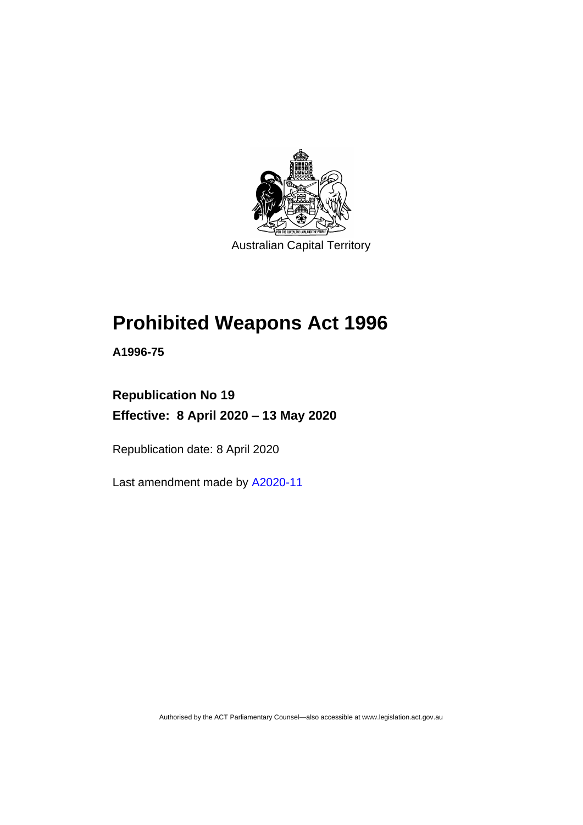![](_page_0_Picture_0.jpeg)

# **Prohibited Weapons Act 1996**

**A1996-75**

## **Republication No 19 Effective: 8 April 2020 – 13 May 2020**

Republication date: 8 April 2020

Last amendment made by [A2020-11](http://www.legislation.act.gov.au/a/2020-11/#history)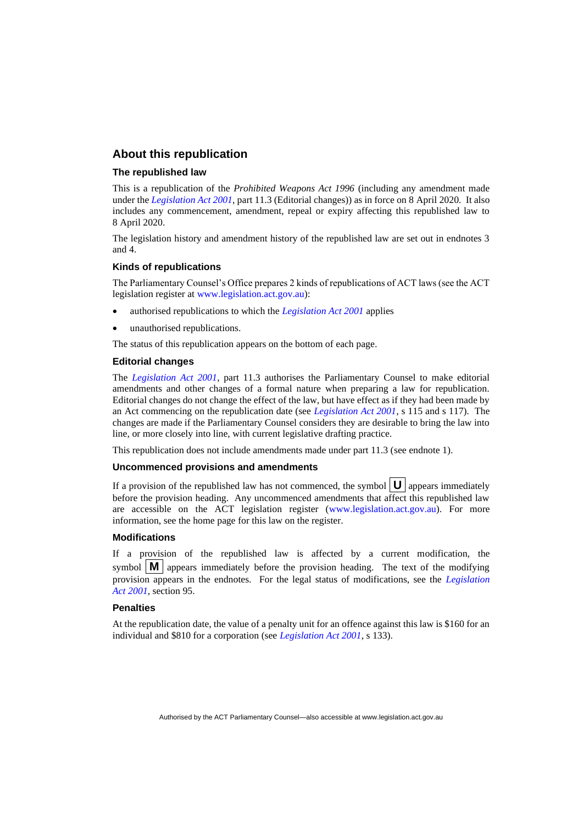### **About this republication**

#### **The republished law**

This is a republication of the *Prohibited Weapons Act 1996* (including any amendment made under the *[Legislation Act 2001](http://www.legislation.act.gov.au/a/2001-14)*, part 11.3 (Editorial changes)) as in force on 8 April 2020*.* It also includes any commencement, amendment, repeal or expiry affecting this republished law to 8 April 2020.

The legislation history and amendment history of the republished law are set out in endnotes 3 and 4.

#### **Kinds of republications**

The Parliamentary Counsel's Office prepares 2 kinds of republications of ACT laws (see the ACT legislation register at [www.legislation.act.gov.au\)](http://www.legislation.act.gov.au/):

- authorised republications to which the *[Legislation Act 2001](http://www.legislation.act.gov.au/a/2001-14)* applies
- unauthorised republications.

The status of this republication appears on the bottom of each page.

#### **Editorial changes**

The *[Legislation Act 2001](http://www.legislation.act.gov.au/a/2001-14)*, part 11.3 authorises the Parliamentary Counsel to make editorial amendments and other changes of a formal nature when preparing a law for republication. Editorial changes do not change the effect of the law, but have effect as if they had been made by an Act commencing on the republication date (see *[Legislation Act 2001](http://www.legislation.act.gov.au/a/2001-14)*, s 115 and s 117). The changes are made if the Parliamentary Counsel considers they are desirable to bring the law into line, or more closely into line, with current legislative drafting practice.

This republication does not include amendments made under part 11.3 (see endnote 1).

#### **Uncommenced provisions and amendments**

If a provision of the republished law has not commenced, the symbol  $\mathbf{U}$  appears immediately before the provision heading. Any uncommenced amendments that affect this republished law are accessible on the ACT legislation register [\(www.legislation.act.gov.au\)](http://www.legislation.act.gov.au/). For more information, see the home page for this law on the register.

#### **Modifications**

If a provision of the republished law is affected by a current modification, the symbol  $\mathbf{M}$  appears immediately before the provision heading. The text of the modifying provision appears in the endnotes. For the legal status of modifications, see the *[Legislation](http://www.legislation.act.gov.au/a/2001-14)  Act [2001](http://www.legislation.act.gov.au/a/2001-14)*, section 95.

#### **Penalties**

At the republication date, the value of a penalty unit for an offence against this law is \$160 for an individual and \$810 for a corporation (see *[Legislation Act 2001](http://www.legislation.act.gov.au/a/2001-14)*, s 133).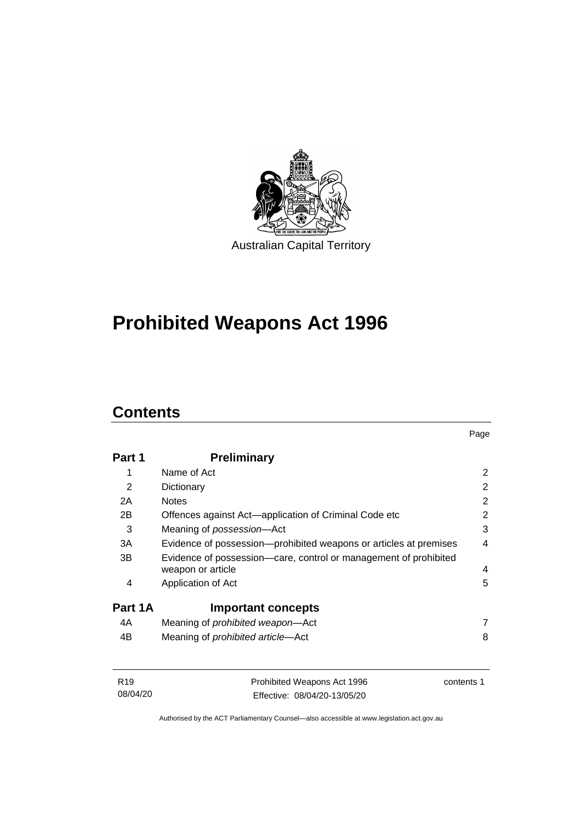![](_page_2_Picture_0.jpeg)

## **Prohibited Weapons Act 1996**

## **Contents**

| Part 1  | <b>Preliminary</b>                                                                    |                |
|---------|---------------------------------------------------------------------------------------|----------------|
| 1       | Name of Act                                                                           | 2              |
| 2       | Dictionary                                                                            | 2              |
| 2Α      | <b>Notes</b>                                                                          | 2              |
| 2B      | Offences against Act—application of Criminal Code etc                                 | $\overline{2}$ |
| 3       | Meaning of <i>possession</i> —Act                                                     | 3              |
| 3A      | Evidence of possession-prohibited weapons or articles at premises                     | 4              |
| 3В.     | Evidence of possession—care, control or management of prohibited<br>weapon or article | 4              |
| 4       | Application of Act                                                                    | 5              |
| Part 1A | <b>Important concepts</b>                                                             |                |
| 4A      | Meaning of <i>prohibited</i> weapon-Act                                               | 7              |
| 4Β      | Meaning of <i>prohibited article</i> —Act                                             | 8              |
|         |                                                                                       |                |
|         |                                                                                       |                |

| R19      | Prohibited Weapons Act 1996  | contents 1 |
|----------|------------------------------|------------|
| 08/04/20 | Effective: 08/04/20-13/05/20 |            |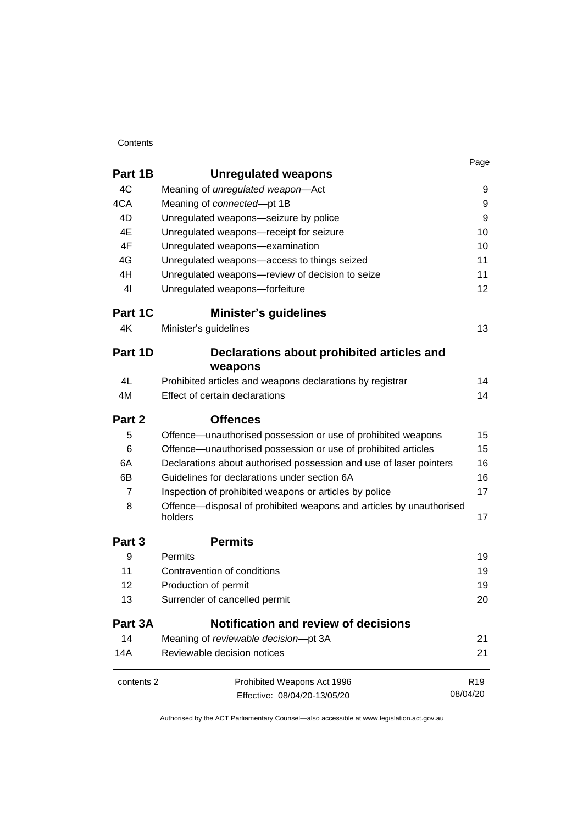#### **Contents**

|                   |                                                                                | Page |
|-------------------|--------------------------------------------------------------------------------|------|
| Part 1B           | Unregulated weapons                                                            |      |
| 4C                | Meaning of unregulated weapon-Act                                              | 9    |
| 4CA               | Meaning of connected-pt 1B                                                     | 9    |
| 4D                | Unregulated weapons-seizure by police                                          | 9    |
| 4E                | Unregulated weapons-receipt for seizure                                        | 10   |
| 4F                | Unregulated weapons-examination                                                | 10   |
| 4G                | Unregulated weapons-access to things seized                                    | 11   |
| 4H                | Unregulated weapons-review of decision to seize                                | 11   |
| 4 <sub>l</sub>    | Unregulated weapons-forfeiture                                                 | 12   |
| Part 1C           | <b>Minister's guidelines</b>                                                   |      |
| 4K                | Minister's guidelines                                                          | 13   |
| Part 1D           | Declarations about prohibited articles and                                     |      |
|                   | weapons                                                                        |      |
| 4L                | Prohibited articles and weapons declarations by registrar                      | 14   |
| 4M                | Effect of certain declarations                                                 | 14   |
| Part 2            | <b>Offences</b>                                                                |      |
| 5                 | Offence—unauthorised possession or use of prohibited weapons                   | 15   |
| 6                 | Offence—unauthorised possession or use of prohibited articles                  | 15   |
| 6A                | Declarations about authorised possession and use of laser pointers             | 16   |
| 6B                | Guidelines for declarations under section 6A                                   | 16   |
| $\overline{7}$    | Inspection of prohibited weapons or articles by police                         | 17   |
| 8                 | Offence—disposal of prohibited weapons and articles by unauthorised<br>holders | 17   |
| Part <sub>3</sub> | <b>Permits</b>                                                                 |      |
| 9                 | <b>Permits</b>                                                                 | 19   |
| 11                | Contravention of conditions                                                    | 19   |
| 12                | Production of permit                                                           | 19   |
| 13                | Surrender of cancelled permit                                                  | 20   |
| Part 3A           | <b>Notification and review of decisions</b>                                    |      |
| 14                | Meaning of reviewable decision-pt 3A                                           | 21   |
| 14A               | Reviewable decision notices                                                    | 21   |
|                   |                                                                                |      |

| contents 2 | Prohibited Weapons Act 1996  | R <sub>19</sub> |
|------------|------------------------------|-----------------|
|            | Effective: 08/04/20-13/05/20 | 08/04/20        |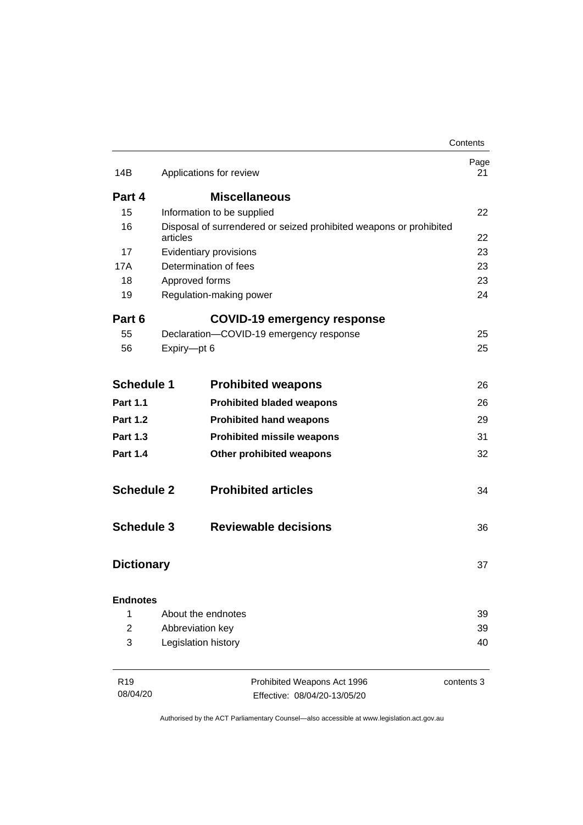|                   |                                                                                | Contents   |
|-------------------|--------------------------------------------------------------------------------|------------|
| 14B               | Applications for review                                                        | Page<br>21 |
| Part 4            | <b>Miscellaneous</b>                                                           |            |
| 15                | Information to be supplied                                                     | 22         |
| 16                | Disposal of surrendered or seized prohibited weapons or prohibited<br>articles | 22         |
| 17                | Evidentiary provisions                                                         | 23         |
| 17A               | Determination of fees                                                          | 23         |
| 18                | Approved forms                                                                 | 23         |
| 19                | Regulation-making power                                                        | 24         |
| Part 6            | COVID-19 emergency response                                                    |            |
| 55                | Declaration-COVID-19 emergency response                                        | 25         |
| 56                | Expiry-pt 6                                                                    | 25         |
| <b>Schedule 1</b> | <b>Prohibited weapons</b>                                                      | 26         |
| <b>Part 1.1</b>   | <b>Prohibited bladed weapons</b>                                               | 26         |
| <b>Part 1.2</b>   | <b>Prohibited hand weapons</b>                                                 | 29         |
| <b>Part 1.3</b>   | <b>Prohibited missile weapons</b>                                              | 31         |
| <b>Part 1.4</b>   | <b>Other prohibited weapons</b>                                                | 32         |
| <b>Schedule 2</b> | <b>Prohibited articles</b>                                                     | 34         |
| <b>Schedule 3</b> | Reviewable decisions                                                           | 36         |
| <b>Dictionary</b> |                                                                                | 37         |
| <b>Endnotes</b>   |                                                                                |            |
| 1                 | About the endnotes                                                             | 39         |
| $\overline{2}$    | Abbreviation key                                                               | 39         |
| 3                 | Legislation history                                                            | 40         |
| R <sub>19</sub>   | Prohibited Weapons Act 1996                                                    | contents 3 |
| 08/04/20          | Effective: 08/04/20-13/05/20                                                   |            |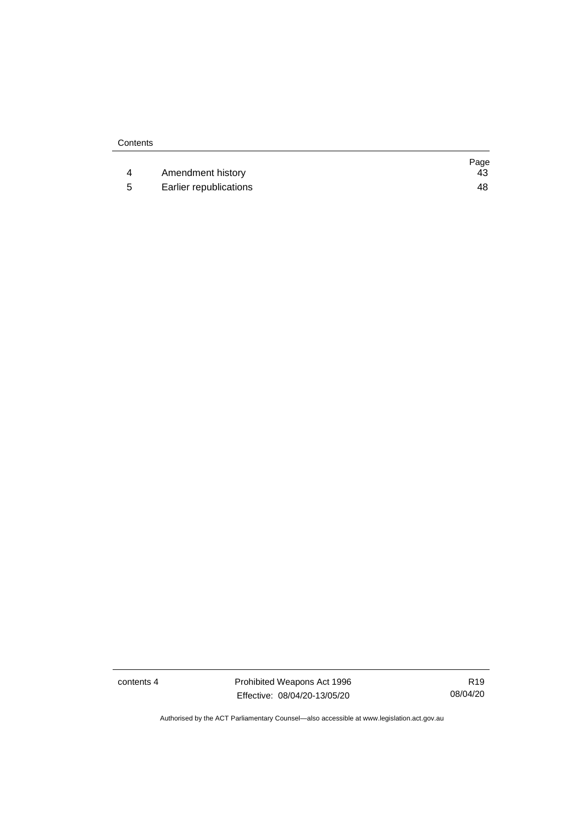| Contents |
|----------|
|----------|

|    |                        | Page |
|----|------------------------|------|
| 4  | Amendment history      | 43   |
| -5 | Earlier republications | 48   |

contents 4 Prohibited Weapons Act 1996 Effective: 08/04/20-13/05/20

R19 08/04/20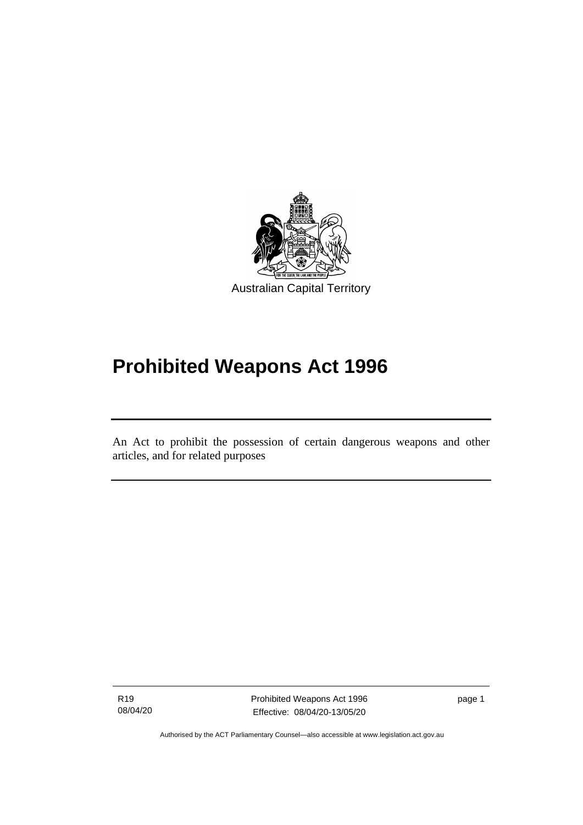![](_page_6_Picture_0.jpeg)

## **Prohibited Weapons Act 1996**

An Act to prohibit the possession of certain dangerous weapons and other articles, and for related purposes

R19 08/04/20

ׅ֖֖֚֚֡֡֬֝֬

Prohibited Weapons Act 1996 Effective: 08/04/20-13/05/20

page 1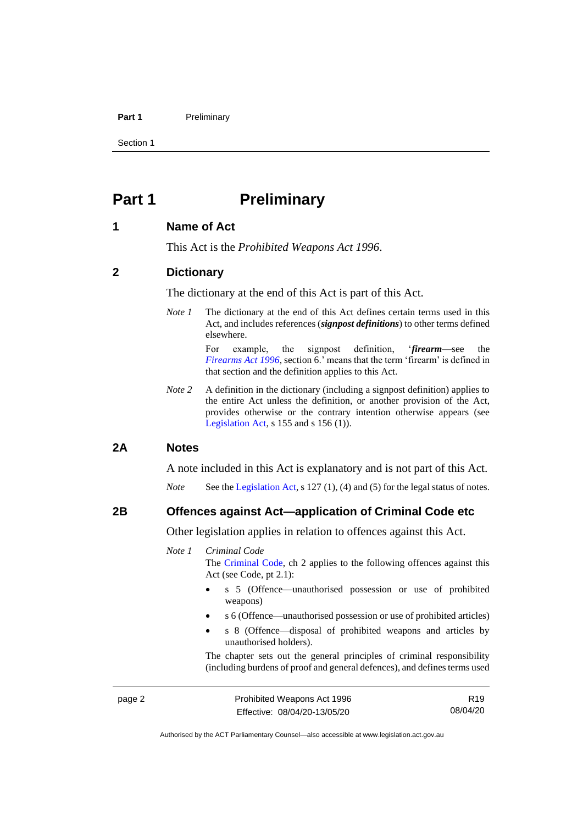#### **Part 1** Preliminary

Section 1

## <span id="page-7-0"></span>**Part 1 Preliminary**

### <span id="page-7-1"></span>**1 Name of Act**

This Act is the *Prohibited Weapons Act 1996*.

#### <span id="page-7-2"></span>**2 Dictionary**

The dictionary at the end of this Act is part of this Act.

*Note 1* The dictionary at the end of this Act defines certain terms used in this Act, and includes references (*signpost definitions*) to other terms defined elsewhere.

> For example, the signpost definition, '*firearm*—see the *[Firearms](http://www.legislation.act.gov.au/a/1996-74) Act 1996*, section 6.' means that the term 'firearm' is defined in that section and the definition applies to this Act.

*Note* 2 A definition in the dictionary (including a signpost definition) applies to the entire Act unless the definition, or another provision of the Act, provides otherwise or the contrary intention otherwise appears (see [Legislation Act,](http://www.legislation.act.gov.au/a/2001-14) s  $155$  and s  $156$  (1)).

#### <span id="page-7-3"></span>**2A Notes**

A note included in this Act is explanatory and is not part of this Act.

*Note* See the [Legislation Act,](http://www.legislation.act.gov.au/a/2001-14) s 127 (1), (4) and (5) for the legal status of notes.

#### <span id="page-7-4"></span>**2B Offences against Act—application of Criminal Code etc**

Other legislation applies in relation to offences against this Act.

#### *Note 1 Criminal Code*

The [Criminal Code,](http://www.legislation.act.gov.au/a/2002-51) ch 2 applies to the following offences against this Act (see Code, pt 2.1):

- s 5 (Offence—unauthorised possession or use of prohibited weapons)
- s 6 (Offence—unauthorised possession or use of prohibited articles)
- s 8 (Offence—disposal of prohibited weapons and articles by unauthorised holders).

The chapter sets out the general principles of criminal responsibility (including burdens of proof and general defences), and defines terms used

page 2 Prohibited Weapons Act 1996 Effective: 08/04/20-13/05/20

R19 08/04/20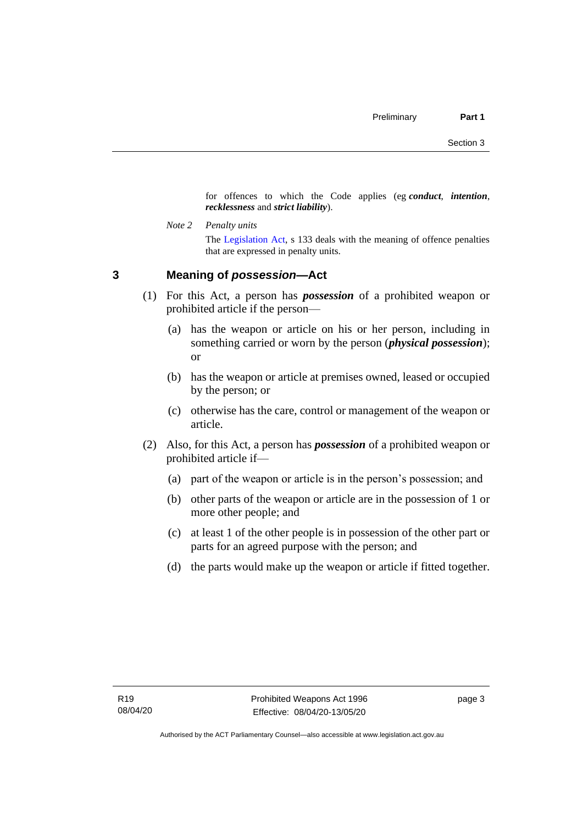for offences to which the Code applies (eg *conduct*, *intention*, *recklessness* and *strict liability*).

*Note 2 Penalty units* The [Legislation Act,](http://www.legislation.act.gov.au/a/2001-14) s 133 deals with the meaning of offence penalties that are expressed in penalty units.

### <span id="page-8-0"></span>**3 Meaning of** *possession***—Act**

- (1) For this Act, a person has *possession* of a prohibited weapon or prohibited article if the person—
	- (a) has the weapon or article on his or her person, including in something carried or worn by the person (*physical possession*); or
	- (b) has the weapon or article at premises owned, leased or occupied by the person; or
	- (c) otherwise has the care, control or management of the weapon or article.
- (2) Also, for this Act, a person has *possession* of a prohibited weapon or prohibited article if—
	- (a) part of the weapon or article is in the person's possession; and
	- (b) other parts of the weapon or article are in the possession of 1 or more other people; and
	- (c) at least 1 of the other people is in possession of the other part or parts for an agreed purpose with the person; and
	- (d) the parts would make up the weapon or article if fitted together.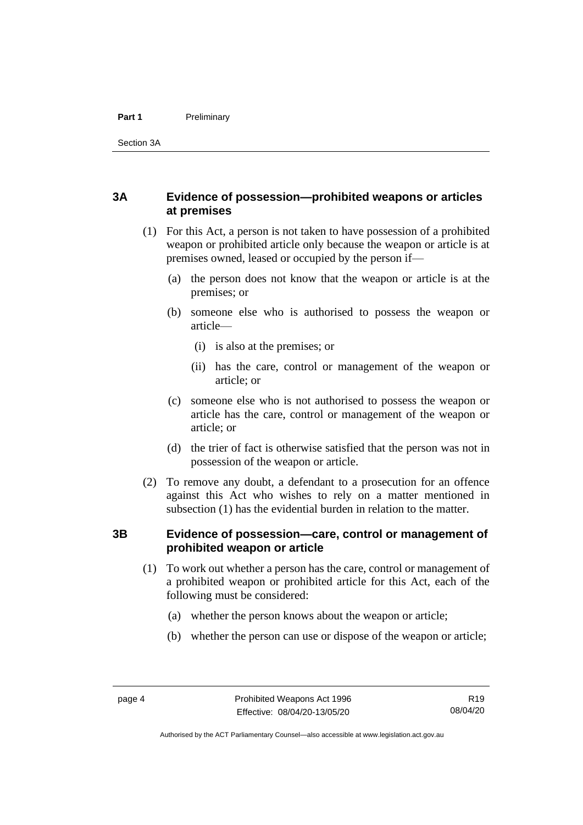#### **Part 1** Preliminary

Section 3A

## <span id="page-9-0"></span>**3A Evidence of possession—prohibited weapons or articles at premises**

- (1) For this Act, a person is not taken to have possession of a prohibited weapon or prohibited article only because the weapon or article is at premises owned, leased or occupied by the person if—
	- (a) the person does not know that the weapon or article is at the premises; or
	- (b) someone else who is authorised to possess the weapon or article—
		- (i) is also at the premises; or
		- (ii) has the care, control or management of the weapon or article; or
	- (c) someone else who is not authorised to possess the weapon or article has the care, control or management of the weapon or article; or
	- (d) the trier of fact is otherwise satisfied that the person was not in possession of the weapon or article.
- (2) To remove any doubt, a defendant to a prosecution for an offence against this Act who wishes to rely on a matter mentioned in subsection (1) has the evidential burden in relation to the matter.

## <span id="page-9-1"></span>**3B Evidence of possession—care, control or management of prohibited weapon or article**

- (1) To work out whether a person has the care, control or management of a prohibited weapon or prohibited article for this Act, each of the following must be considered:
	- (a) whether the person knows about the weapon or article;
	- (b) whether the person can use or dispose of the weapon or article;

R19 08/04/20

Authorised by the ACT Parliamentary Counsel—also accessible at www.legislation.act.gov.au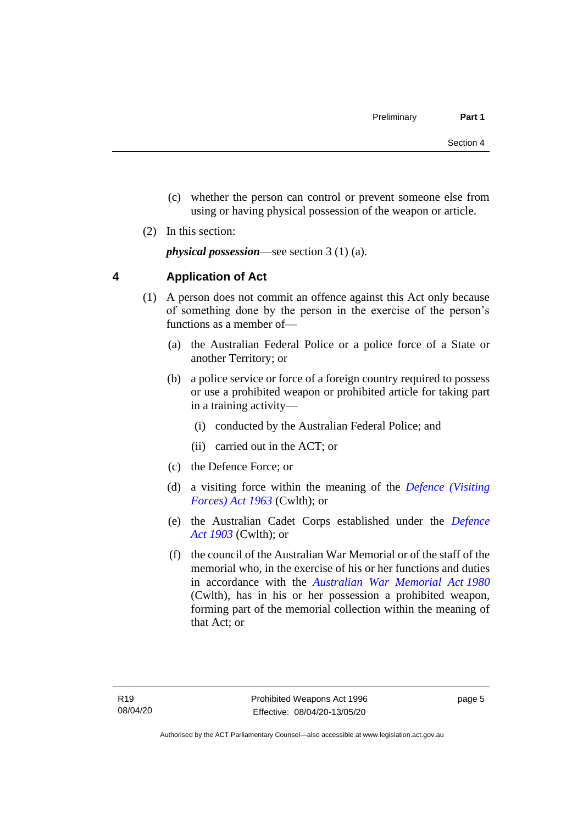- (c) whether the person can control or prevent someone else from using or having physical possession of the weapon or article.
- (2) In this section:

*physical possession*—see section 3 (1) (a).

### <span id="page-10-0"></span>**4 Application of Act**

- (1) A person does not commit an offence against this Act only because of something done by the person in the exercise of the person's functions as a member of—
	- (a) the Australian Federal Police or a police force of a State or another Territory; or
	- (b) a police service or force of a foreign country required to possess or use a prohibited weapon or prohibited article for taking part in a training activity—
		- (i) conducted by the Australian Federal Police; and
		- (ii) carried out in the ACT; or
	- (c) the Defence Force; or
	- (d) a visiting force within the meaning of the *[Defence \(Visiting](http://www.comlaw.gov.au/Series/C1963A00081)  [Forces\) Act 1963](http://www.comlaw.gov.au/Series/C1963A00081)* (Cwlth); or
	- (e) the Australian Cadet Corps established under the *[Defence](http://www.comlaw.gov.au/Series/C1903A00020)  Act [1903](http://www.comlaw.gov.au/Series/C1903A00020)* (Cwlth); or
	- (f) the council of the Australian War Memorial or of the staff of the memorial who, in the exercise of his or her functions and duties in accordance with the *[Australian War Memorial Act](http://www.comlaw.gov.au/Series/C2004A02305) 1980* (Cwlth), has in his or her possession a prohibited weapon, forming part of the memorial collection within the meaning of that Act; or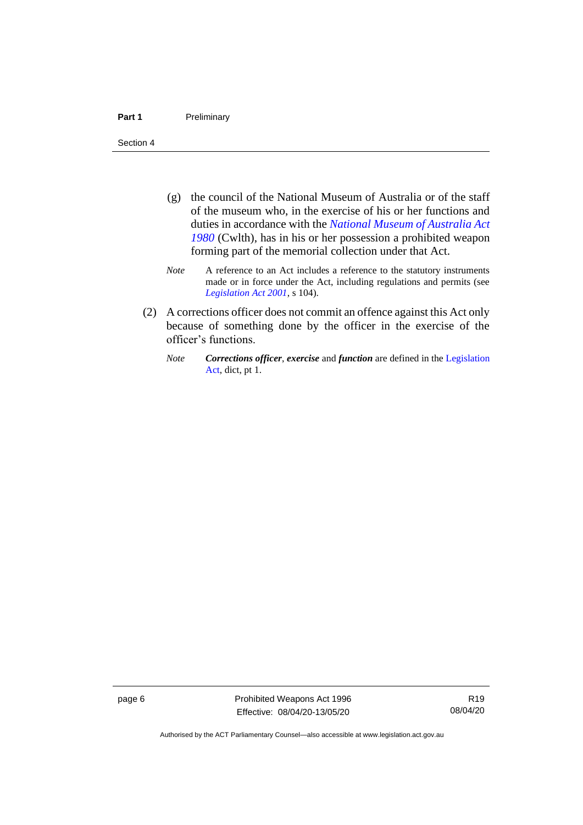#### Part 1 **Preliminary**

Section 4

- (g) the council of the National Museum of Australia or of the staff of the museum who, in the exercise of his or her functions and duties in accordance with the *[National Museum of Australia Act](http://www.comlaw.gov.au/Series/C2004A02316)  [1980](http://www.comlaw.gov.au/Series/C2004A02316)* (Cwlth), has in his or her possession a prohibited weapon forming part of the memorial collection under that Act.
- *Note* A reference to an Act includes a reference to the statutory instruments made or in force under the Act, including regulations and permits (see *[Legislation Act 2001](http://www.legislation.act.gov.au/a/2001-14)*, s 104).
- (2) A corrections officer does not commit an offence against this Act only because of something done by the officer in the exercise of the officer's functions.
	- *Note Corrections officer*, *exercise* and *function* are defined in the [Legislation](http://www.legislation.act.gov.au/a/2001-14)  [Act,](http://www.legislation.act.gov.au/a/2001-14) dict, pt 1.

page 6 **Prohibited Weapons Act 1996** Effective: 08/04/20-13/05/20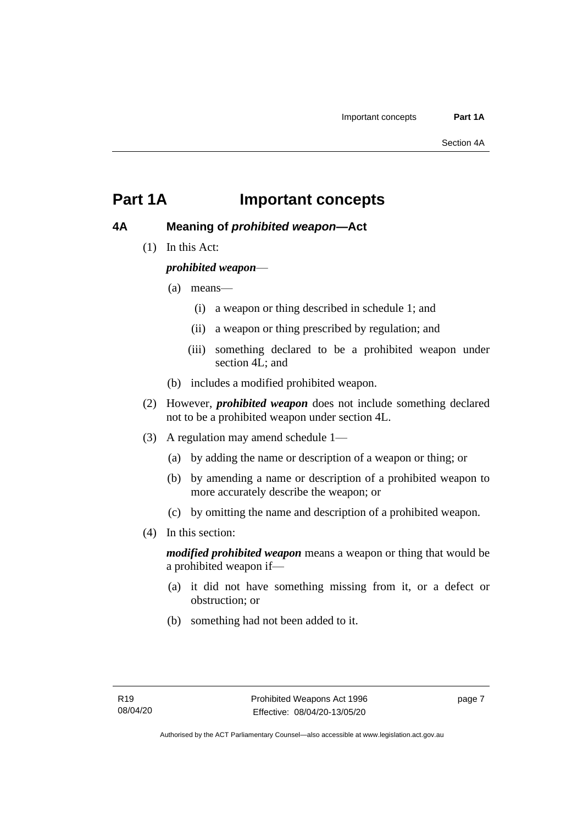## <span id="page-12-0"></span>**Part 1A Important concepts**

## <span id="page-12-1"></span>**4A Meaning of** *prohibited weapon***—Act**

(1) In this Act:

## *prohibited weapon*—

- (a) means—
	- (i) a weapon or thing described in schedule 1; and
	- (ii) a weapon or thing prescribed by regulation; and
	- (iii) something declared to be a prohibited weapon under section 4L; and
- (b) includes a modified prohibited weapon.
- (2) However, *prohibited weapon* does not include something declared not to be a prohibited weapon under section 4L.
- (3) A regulation may amend schedule 1—
	- (a) by adding the name or description of a weapon or thing; or
	- (b) by amending a name or description of a prohibited weapon to more accurately describe the weapon; or
	- (c) by omitting the name and description of a prohibited weapon.
- (4) In this section:

*modified prohibited weapon* means a weapon or thing that would be a prohibited weapon if—

- (a) it did not have something missing from it, or a defect or obstruction; or
- (b) something had not been added to it.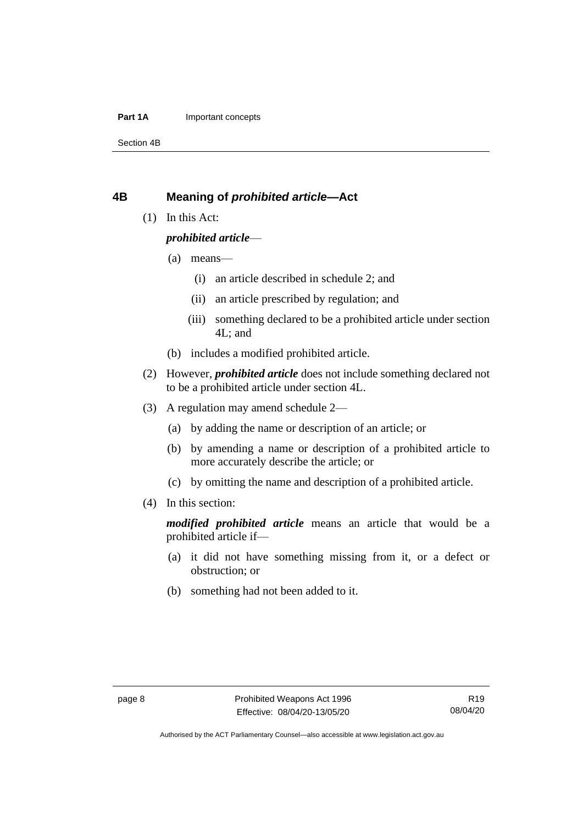#### **Part 1A** Important concepts

Section 4B

### <span id="page-13-0"></span>**4B Meaning of** *prohibited article***—Act**

(1) In this Act:

### *prohibited article*—

- (a) means—
	- (i) an article described in schedule 2; and
	- (ii) an article prescribed by regulation; and
	- (iii) something declared to be a prohibited article under section 4L; and
- (b) includes a modified prohibited article.
- (2) However, *prohibited article* does not include something declared not to be a prohibited article under section 4L.
- (3) A regulation may amend schedule 2—
	- (a) by adding the name or description of an article; or
	- (b) by amending a name or description of a prohibited article to more accurately describe the article; or
	- (c) by omitting the name and description of a prohibited article.
- (4) In this section:

*modified prohibited article* means an article that would be a prohibited article if—

- (a) it did not have something missing from it, or a defect or obstruction; or
- (b) something had not been added to it.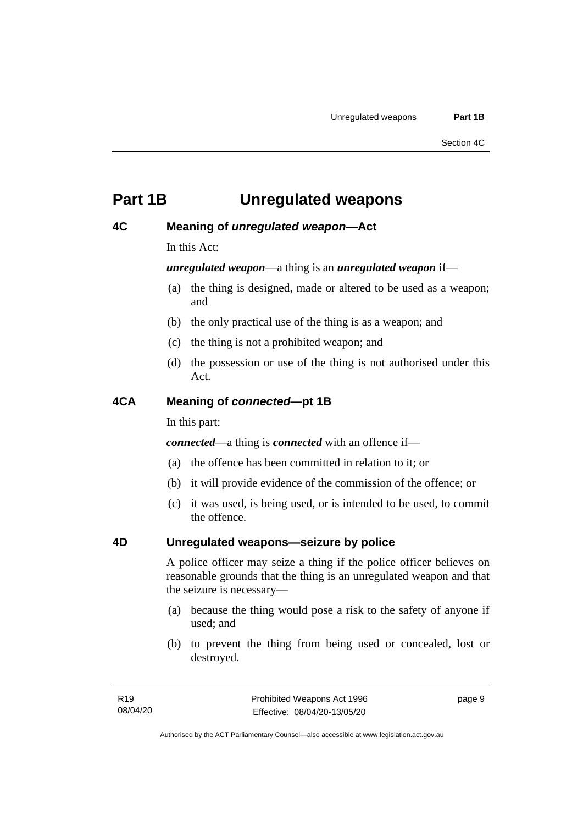## <span id="page-14-0"></span>**Part 1B Unregulated weapons**

### <span id="page-14-1"></span>**4C Meaning of** *unregulated weapon***—Act**

In this Act:

*unregulated weapon*—a thing is an *unregulated weapon* if—

- (a) the thing is designed, made or altered to be used as a weapon; and
- (b) the only practical use of the thing is as a weapon; and
- (c) the thing is not a prohibited weapon; and
- (d) the possession or use of the thing is not authorised under this Act.

### <span id="page-14-2"></span>**4CA Meaning of** *connected***—pt 1B**

In this part:

*connected*—a thing is *connected* with an offence if—

- (a) the offence has been committed in relation to it; or
- (b) it will provide evidence of the commission of the offence; or
- (c) it was used, is being used, or is intended to be used, to commit the offence.

## <span id="page-14-3"></span>**4D Unregulated weapons—seizure by police**

A police officer may seize a thing if the police officer believes on reasonable grounds that the thing is an unregulated weapon and that the seizure is necessary—

- (a) because the thing would pose a risk to the safety of anyone if used; and
- (b) to prevent the thing from being used or concealed, lost or destroyed.

page 9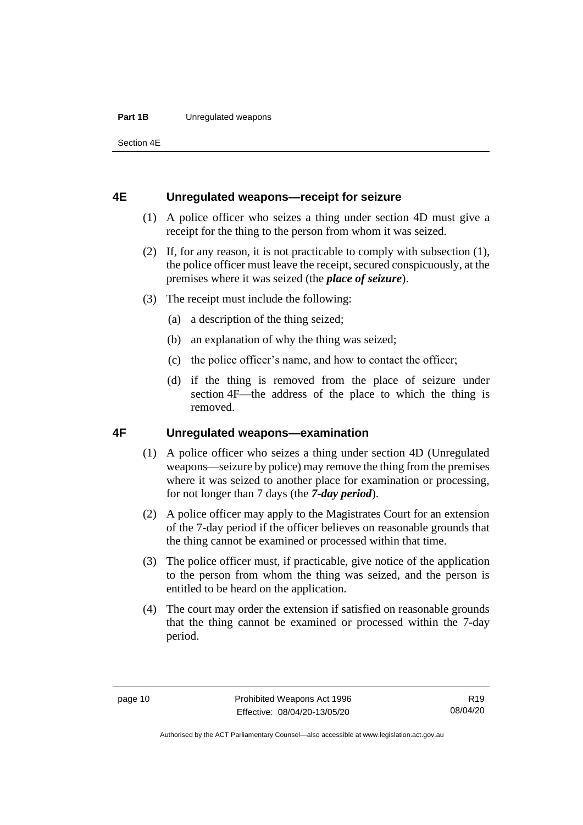#### **Part 1B** Unregulated weapons

Section 4E

## <span id="page-15-0"></span>**4E Unregulated weapons—receipt for seizure**

- (1) A police officer who seizes a thing under section 4D must give a receipt for the thing to the person from whom it was seized.
- (2) If, for any reason, it is not practicable to comply with subsection (1), the police officer must leave the receipt, secured conspicuously, at the premises where it was seized (the *place of seizure*).
- (3) The receipt must include the following:
	- (a) a description of the thing seized;
	- (b) an explanation of why the thing was seized;
	- (c) the police officer's name, and how to contact the officer;
	- (d) if the thing is removed from the place of seizure under section 4F—the address of the place to which the thing is removed.

## <span id="page-15-1"></span>**4F Unregulated weapons—examination**

- (1) A police officer who seizes a thing under section 4D (Unregulated weapons—seizure by police) may remove the thing from the premises where it was seized to another place for examination or processing, for not longer than 7 days (the *7-day period*).
- (2) A police officer may apply to the Magistrates Court for an extension of the 7-day period if the officer believes on reasonable grounds that the thing cannot be examined or processed within that time.
- (3) The police officer must, if practicable, give notice of the application to the person from whom the thing was seized, and the person is entitled to be heard on the application.
- (4) The court may order the extension if satisfied on reasonable grounds that the thing cannot be examined or processed within the 7-day period.

Authorised by the ACT Parliamentary Counsel—also accessible at www.legislation.act.gov.au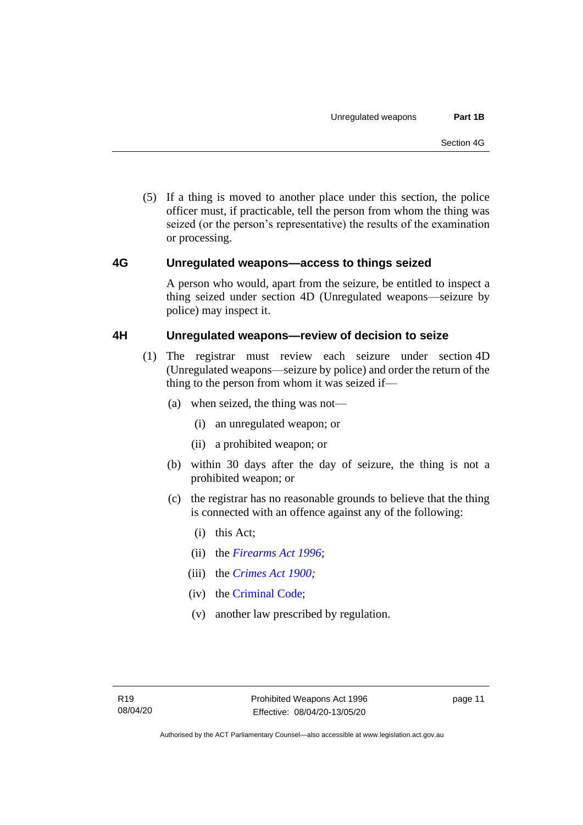(5) If a thing is moved to another place under this section, the police officer must, if practicable, tell the person from whom the thing was seized (or the person's representative) the results of the examination or processing.

### <span id="page-16-0"></span>**4G Unregulated weapons—access to things seized**

A person who would, apart from the seizure, be entitled to inspect a thing seized under section 4D (Unregulated weapons—seizure by police) may inspect it.

## <span id="page-16-1"></span>**4H Unregulated weapons—review of decision to seize**

- (1) The registrar must review each seizure under section 4D (Unregulated weapons—seizure by police) and order the return of the thing to the person from whom it was seized if—
	- (a) when seized, the thing was not—
		- (i) an unregulated weapon; or
		- (ii) a prohibited weapon; or
	- (b) within 30 days after the day of seizure, the thing is not a prohibited weapon; or
	- (c) the registrar has no reasonable grounds to believe that the thing is connected with an offence against any of the following:
		- (i) this Act;
		- (ii) the *[Firearms Act 1996](http://www.legislation.act.gov.au/a/1996-74)*;
		- (iii) the *[Crimes Act 1900;](http://www.legislation.act.gov.au/a/1900-40)*
		- (iv) the [Criminal Code;](http://www.legislation.act.gov.au/a/2002-51)
		- (v) another law prescribed by regulation.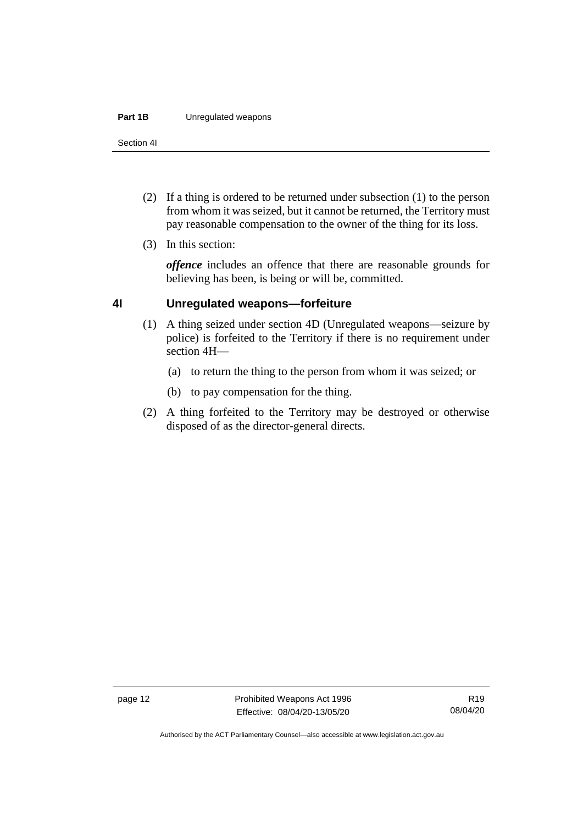#### **Part 1B** Unregulated weapons

Section 4I

- (2) If a thing is ordered to be returned under subsection (1) to the person from whom it was seized, but it cannot be returned, the Territory must pay reasonable compensation to the owner of the thing for its loss.
- (3) In this section:

*offence* includes an offence that there are reasonable grounds for believing has been, is being or will be, committed.

### <span id="page-17-0"></span>**4I Unregulated weapons—forfeiture**

- (1) A thing seized under section 4D (Unregulated weapons—seizure by police) is forfeited to the Territory if there is no requirement under section 4H—
	- (a) to return the thing to the person from whom it was seized; or
	- (b) to pay compensation for the thing.
- (2) A thing forfeited to the Territory may be destroyed or otherwise disposed of as the director-general directs.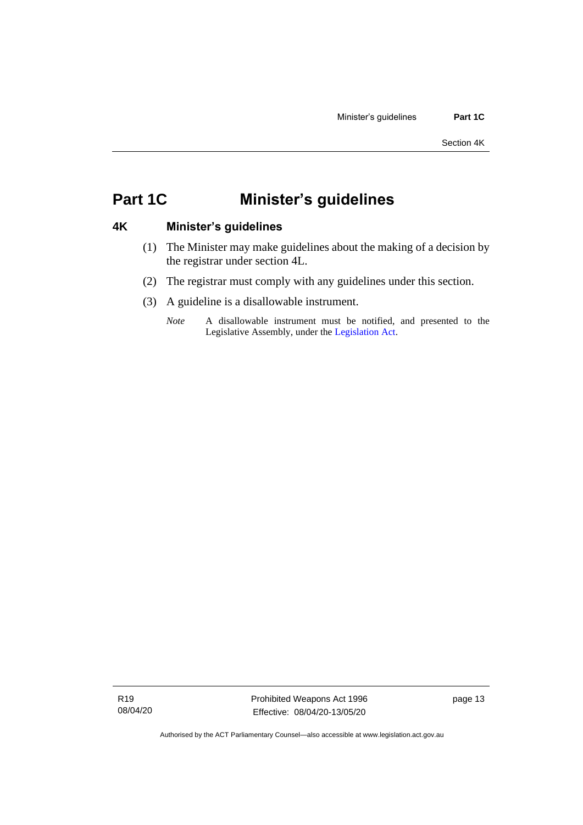## <span id="page-18-0"></span>**Part 1C Minister's guidelines**

## <span id="page-18-1"></span>**4K Minister's guidelines**

- (1) The Minister may make guidelines about the making of a decision by the registrar under section 4L.
- (2) The registrar must comply with any guidelines under this section.
- (3) A guideline is a disallowable instrument.
	- *Note* A disallowable instrument must be notified, and presented to the Legislative Assembly, under the [Legislation Act.](http://www.legislation.act.gov.au/a/2001-14)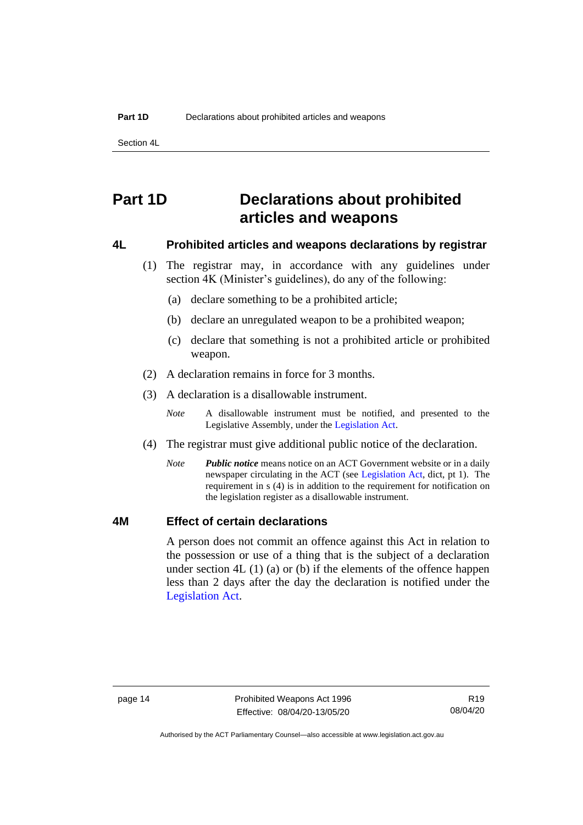Section 4L

## <span id="page-19-0"></span>**Part 1D Declarations about prohibited articles and weapons**

### <span id="page-19-1"></span>**4L Prohibited articles and weapons declarations by registrar**

- (1) The registrar may, in accordance with any guidelines under section 4K (Minister's guidelines), do any of the following:
	- (a) declare something to be a prohibited article;
	- (b) declare an unregulated weapon to be a prohibited weapon;
	- (c) declare that something is not a prohibited article or prohibited weapon.
- (2) A declaration remains in force for 3 months.
- (3) A declaration is a disallowable instrument.
	- *Note* A disallowable instrument must be notified, and presented to the Legislative Assembly, under the [Legislation Act.](http://www.legislation.act.gov.au/a/2001-14)
- (4) The registrar must give additional public notice of the declaration.
	- *Note Public notice* means notice on an ACT Government website or in a daily newspaper circulating in the ACT (see [Legislation Act,](http://www.legislation.act.gov.au/a/2001-14) dict, pt 1). The requirement in s (4) is in addition to the requirement for notification on the legislation register as a disallowable instrument.

### <span id="page-19-2"></span>**4M Effect of certain declarations**

A person does not commit an offence against this Act in relation to the possession or use of a thing that is the subject of a declaration under section 4L (1) (a) or (b) if the elements of the offence happen less than 2 days after the day the declaration is notified under the [Legislation Act.](http://www.legislation.act.gov.au/a/2001-14)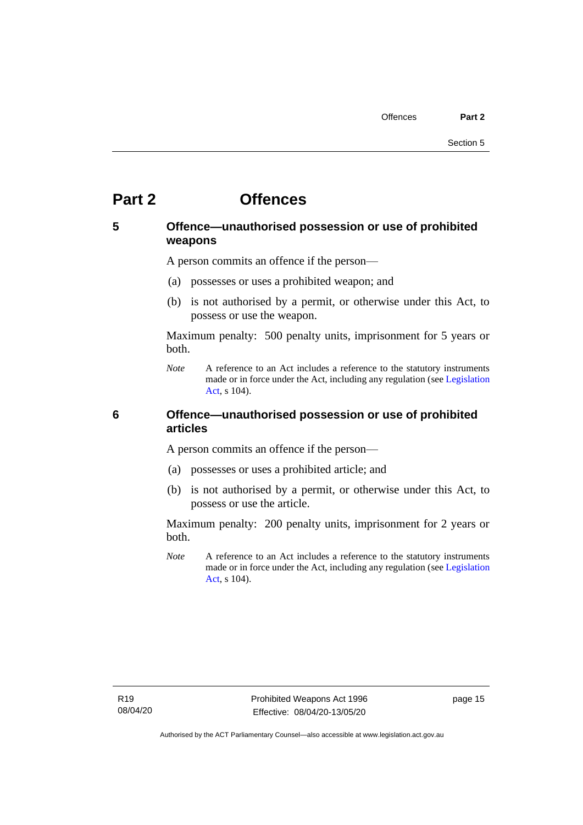## <span id="page-20-0"></span>**Part 2 Offences**

## <span id="page-20-1"></span>**5 Offence—unauthorised possession or use of prohibited weapons**

A person commits an offence if the person—

- (a) possesses or uses a prohibited weapon; and
- (b) is not authorised by a permit, or otherwise under this Act, to possess or use the weapon.

Maximum penalty: 500 penalty units, imprisonment for 5 years or both.

*Note* A reference to an Act includes a reference to the statutory instruments made or in force under the Act, including any regulation (se[e Legislation](http://www.legislation.act.gov.au/a/2001-14)  [Act,](http://www.legislation.act.gov.au/a/2001-14) s 104).

## <span id="page-20-2"></span>**6 Offence—unauthorised possession or use of prohibited articles**

A person commits an offence if the person—

- (a) possesses or uses a prohibited article; and
- (b) is not authorised by a permit, or otherwise under this Act, to possess or use the article.

Maximum penalty: 200 penalty units, imprisonment for 2 years or both.

*Note* A reference to an Act includes a reference to the statutory instruments made or in force under the Act, including any regulation (se[e Legislation](http://www.legislation.act.gov.au/a/2001-14)  [Act,](http://www.legislation.act.gov.au/a/2001-14) s 104).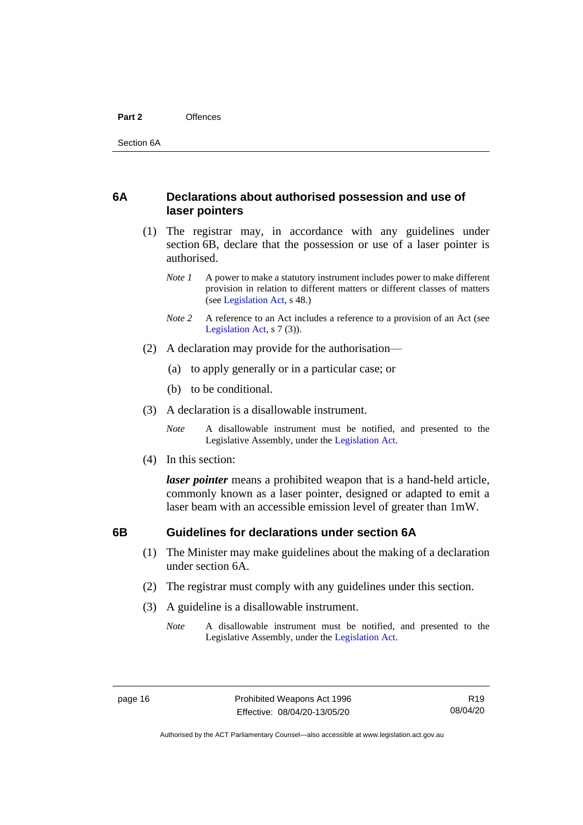#### **Part 2** Offences

### <span id="page-21-0"></span>**6A Declarations about authorised possession and use of laser pointers**

- (1) The registrar may, in accordance with any guidelines under section 6B, declare that the possession or use of a laser pointer is authorised.
	- *Note 1* A power to make a statutory instrument includes power to make different provision in relation to different matters or different classes of matters (se[e Legislation Act,](http://www.legislation.act.gov.au/a/2001-14) s 48.)
	- *Note 2* A reference to an Act includes a reference to a provision of an Act (see [Legislation Act,](http://www.legislation.act.gov.au/a/2001-14) s 7 (3)).
- (2) A declaration may provide for the authorisation—
	- (a) to apply generally or in a particular case; or
	- (b) to be conditional.
- (3) A declaration is a disallowable instrument.

*Note* A disallowable instrument must be notified, and presented to the Legislative Assembly, under the [Legislation Act.](http://www.legislation.act.gov.au/a/2001-14)

(4) In this section:

*laser pointer* means a prohibited weapon that is a hand-held article, commonly known as a laser pointer, designed or adapted to emit a laser beam with an accessible emission level of greater than 1mW.

### <span id="page-21-1"></span>**6B Guidelines for declarations under section 6A**

- (1) The Minister may make guidelines about the making of a declaration under section 6A.
- (2) The registrar must comply with any guidelines under this section.
- (3) A guideline is a disallowable instrument.
	- *Note* A disallowable instrument must be notified, and presented to the Legislative Assembly, under the [Legislation Act.](http://www.legislation.act.gov.au/a/2001-14)

Authorised by the ACT Parliamentary Counsel—also accessible at www.legislation.act.gov.au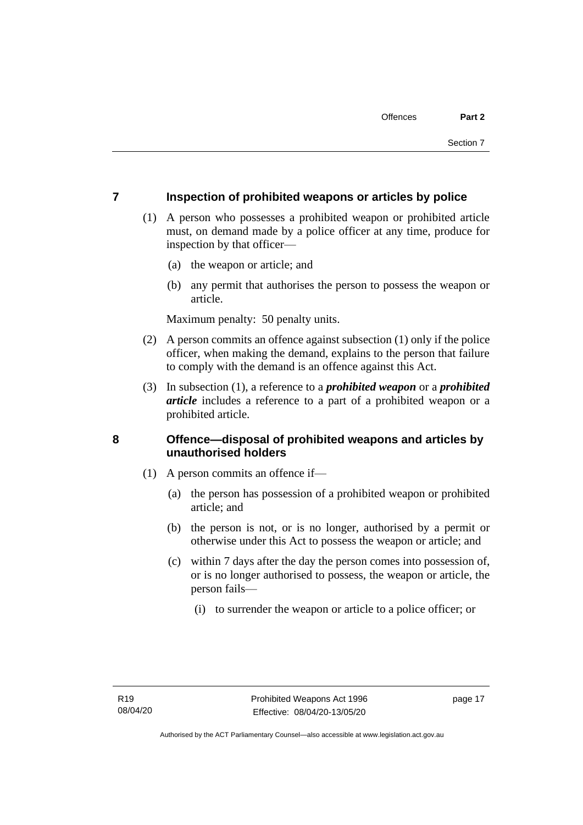### <span id="page-22-0"></span>**7 Inspection of prohibited weapons or articles by police**

- (1) A person who possesses a prohibited weapon or prohibited article must, on demand made by a police officer at any time, produce for inspection by that officer—
	- (a) the weapon or article; and
	- (b) any permit that authorises the person to possess the weapon or article.

Maximum penalty: 50 penalty units.

- (2) A person commits an offence against subsection (1) only if the police officer, when making the demand, explains to the person that failure to comply with the demand is an offence against this Act.
- (3) In subsection (1), a reference to a *prohibited weapon* or a *prohibited article* includes a reference to a part of a prohibited weapon or a prohibited article.

## <span id="page-22-1"></span>**8 Offence—disposal of prohibited weapons and articles by unauthorised holders**

- (1) A person commits an offence if—
	- (a) the person has possession of a prohibited weapon or prohibited article; and
	- (b) the person is not, or is no longer, authorised by a permit or otherwise under this Act to possess the weapon or article; and
	- (c) within 7 days after the day the person comes into possession of, or is no longer authorised to possess, the weapon or article, the person fails—
		- (i) to surrender the weapon or article to a police officer; or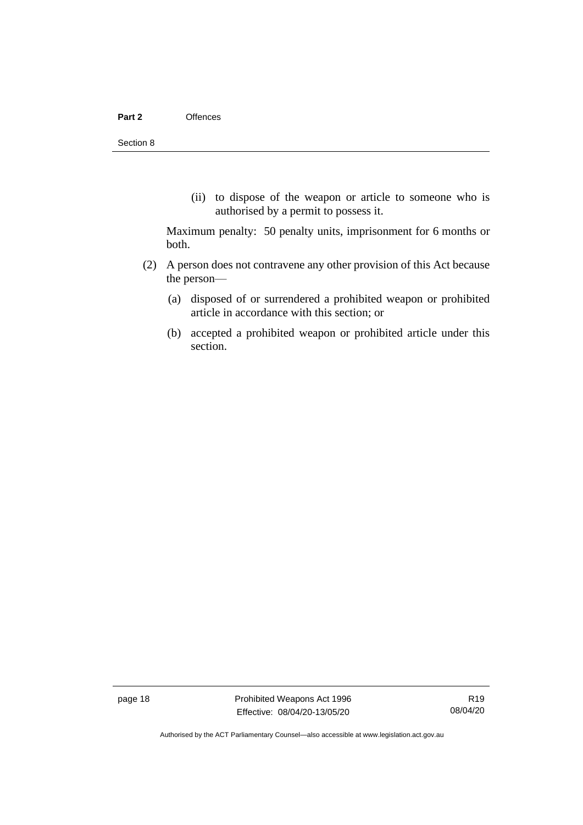(ii) to dispose of the weapon or article to someone who is authorised by a permit to possess it.

Maximum penalty: 50 penalty units, imprisonment for 6 months or both.

- (2) A person does not contravene any other provision of this Act because the person—
	- (a) disposed of or surrendered a prohibited weapon or prohibited article in accordance with this section; or
	- (b) accepted a prohibited weapon or prohibited article under this section.

page 18 Prohibited Weapons Act 1996 Effective: 08/04/20-13/05/20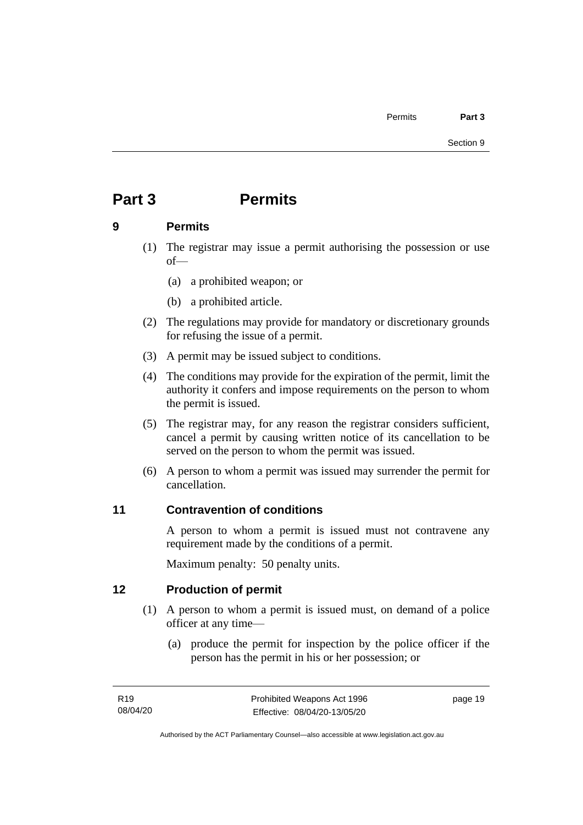## <span id="page-24-0"></span>**Part 3 Permits**

## <span id="page-24-1"></span>**9 Permits**

- (1) The registrar may issue a permit authorising the possession or use of—
	- (a) a prohibited weapon; or
	- (b) a prohibited article.
- (2) The regulations may provide for mandatory or discretionary grounds for refusing the issue of a permit.
- (3) A permit may be issued subject to conditions.
- (4) The conditions may provide for the expiration of the permit, limit the authority it confers and impose requirements on the person to whom the permit is issued.
- (5) The registrar may, for any reason the registrar considers sufficient, cancel a permit by causing written notice of its cancellation to be served on the person to whom the permit was issued.
- (6) A person to whom a permit was issued may surrender the permit for cancellation.

## <span id="page-24-2"></span>**11 Contravention of conditions**

A person to whom a permit is issued must not contravene any requirement made by the conditions of a permit.

Maximum penalty: 50 penalty units.

## <span id="page-24-3"></span>**12 Production of permit**

- (1) A person to whom a permit is issued must, on demand of a police officer at any time—
	- (a) produce the permit for inspection by the police officer if the person has the permit in his or her possession; or

page 19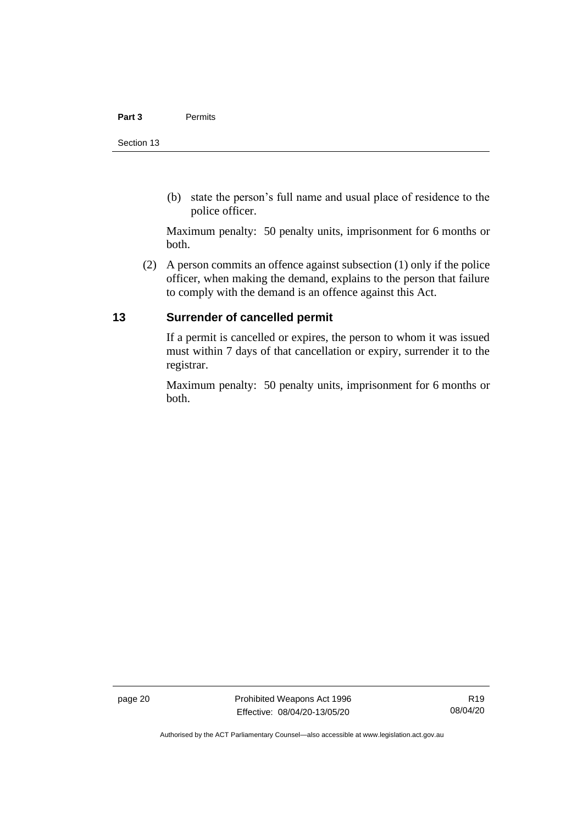#### **Part 3** Permits

(b) state the person's full name and usual place of residence to the police officer.

Maximum penalty: 50 penalty units, imprisonment for 6 months or both.

(2) A person commits an offence against subsection (1) only if the police officer, when making the demand, explains to the person that failure to comply with the demand is an offence against this Act.

## <span id="page-25-0"></span>**13 Surrender of cancelled permit**

If a permit is cancelled or expires, the person to whom it was issued must within 7 days of that cancellation or expiry, surrender it to the registrar.

Maximum penalty: 50 penalty units, imprisonment for 6 months or both.

page 20 Prohibited Weapons Act 1996 Effective: 08/04/20-13/05/20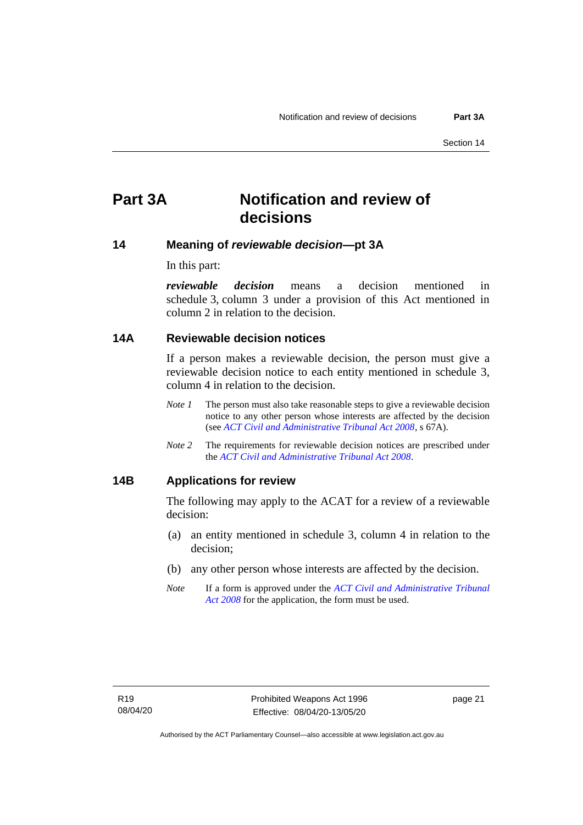## <span id="page-26-0"></span>**Part 3A Notification and review of decisions**

### <span id="page-26-1"></span>**14 Meaning of** *reviewable decision—***pt 3A**

In this part:

*reviewable decision* means a decision mentioned in schedule 3, column 3 under a provision of this Act mentioned in column 2 in relation to the decision.

## <span id="page-26-2"></span>**14A Reviewable decision notices**

If a person makes a reviewable decision, the person must give a reviewable decision notice to each entity mentioned in schedule 3, column 4 in relation to the decision.

- *Note 1* The person must also take reasonable steps to give a reviewable decision notice to any other person whose interests are affected by the decision (see *[ACT Civil and Administrative Tribunal Act 2008](http://www.legislation.act.gov.au/a/2008-35)*, s 67A).
- *Note* 2 The requirements for reviewable decision notices are prescribed under the *[ACT Civil and Administrative Tribunal Act 2008](http://www.legislation.act.gov.au/a/2008-35)*.

## <span id="page-26-3"></span>**14B Applications for review**

The following may apply to the ACAT for a review of a reviewable decision:

- (a) an entity mentioned in schedule 3, column 4 in relation to the decision;
- (b) any other person whose interests are affected by the decision.
- *Note* If a form is approved under the *[ACT Civil and Administrative Tribunal](http://www.legislation.act.gov.au/a/2008-35)  [Act 2008](http://www.legislation.act.gov.au/a/2008-35)* for the application, the form must be used.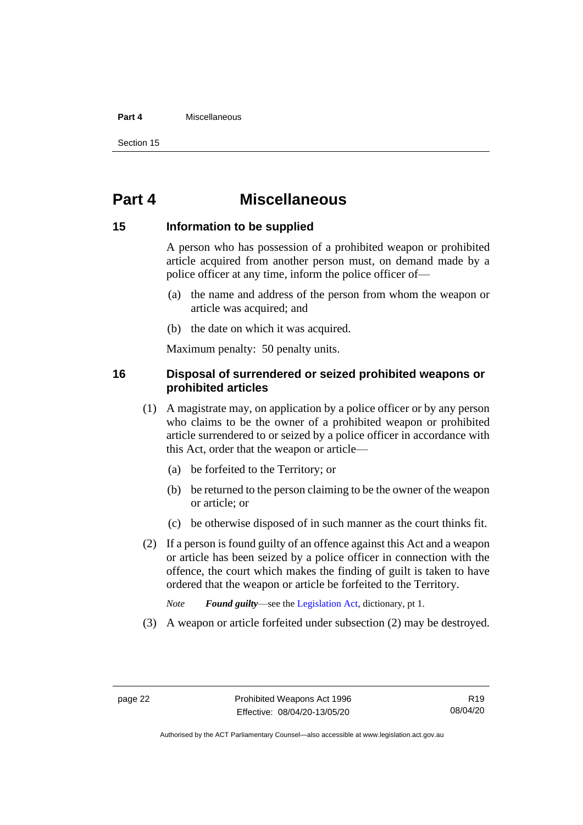#### **Part 4** Miscellaneous

Section 15

## <span id="page-27-0"></span>**Part 4 Miscellaneous**

### <span id="page-27-1"></span>**15 Information to be supplied**

A person who has possession of a prohibited weapon or prohibited article acquired from another person must, on demand made by a police officer at any time, inform the police officer of—

- (a) the name and address of the person from whom the weapon or article was acquired; and
- (b) the date on which it was acquired.

Maximum penalty: 50 penalty units.

## <span id="page-27-2"></span>**16 Disposal of surrendered or seized prohibited weapons or prohibited articles**

- (1) A magistrate may, on application by a police officer or by any person who claims to be the owner of a prohibited weapon or prohibited article surrendered to or seized by a police officer in accordance with this Act, order that the weapon or article—
	- (a) be forfeited to the Territory; or
	- (b) be returned to the person claiming to be the owner of the weapon or article; or
	- (c) be otherwise disposed of in such manner as the court thinks fit.
- (2) If a person is found guilty of an offence against this Act and a weapon or article has been seized by a police officer in connection with the offence, the court which makes the finding of guilt is taken to have ordered that the weapon or article be forfeited to the Territory.
	- *Note Found guilty*—see th[e Legislation Act,](http://www.legislation.act.gov.au/a/2001-14) dictionary, pt 1.
- (3) A weapon or article forfeited under subsection (2) may be destroyed.

Authorised by the ACT Parliamentary Counsel—also accessible at www.legislation.act.gov.au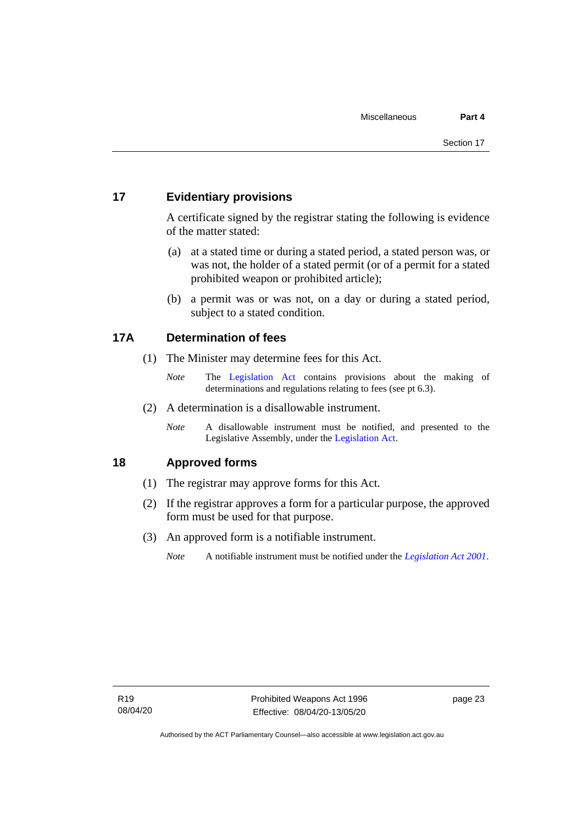## <span id="page-28-0"></span>**17 Evidentiary provisions**

A certificate signed by the registrar stating the following is evidence of the matter stated:

- (a) at a stated time or during a stated period, a stated person was, or was not, the holder of a stated permit (or of a permit for a stated prohibited weapon or prohibited article);
- (b) a permit was or was not, on a day or during a stated period, subject to a stated condition.

### <span id="page-28-1"></span>**17A Determination of fees**

- (1) The Minister may determine fees for this Act.
	- *Note* The [Legislation Act](http://www.legislation.act.gov.au/a/2001-14) contains provisions about the making of determinations and regulations relating to fees (see pt 6.3).
- (2) A determination is a disallowable instrument.
	- *Note* A disallowable instrument must be notified, and presented to the Legislative Assembly, under the [Legislation Act.](http://www.legislation.act.gov.au/a/2001-14)

### <span id="page-28-2"></span>**18 Approved forms**

- (1) The registrar may approve forms for this Act.
- (2) If the registrar approves a form for a particular purpose, the approved form must be used for that purpose.
- (3) An approved form is a notifiable instrument.
	- *Note* A notifiable instrument must be notified under the *[Legislation Act 2001](http://www.legislation.act.gov.au/a/2001-14)*.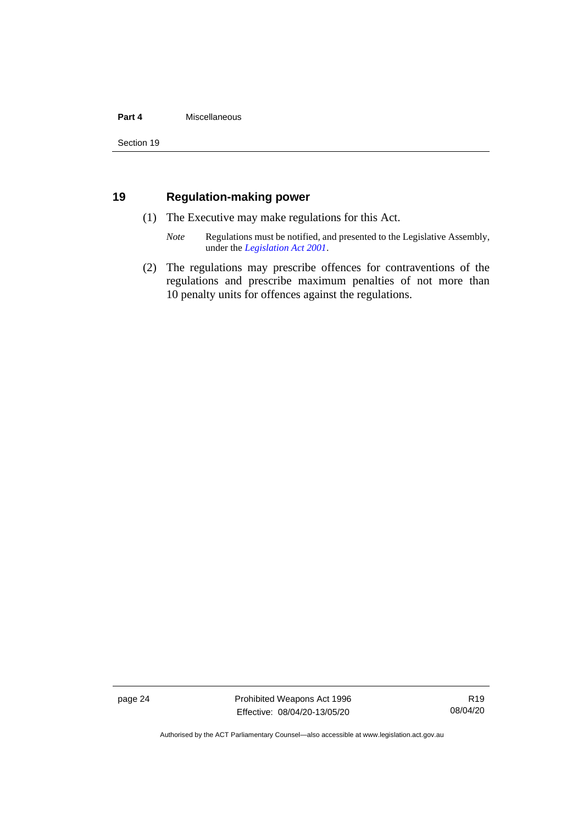#### **Part 4** Miscellaneous

Section 19

## <span id="page-29-0"></span>**19 Regulation-making power**

- (1) The Executive may make regulations for this Act.
	- *Note* Regulations must be notified, and presented to the Legislative Assembly, under the *[Legislation Act 2001](http://www.legislation.act.gov.au/a/2001-14)*.
- (2) The regulations may prescribe offences for contraventions of the regulations and prescribe maximum penalties of not more than 10 penalty units for offences against the regulations.

page 24 Prohibited Weapons Act 1996 Effective: 08/04/20-13/05/20

R19 08/04/20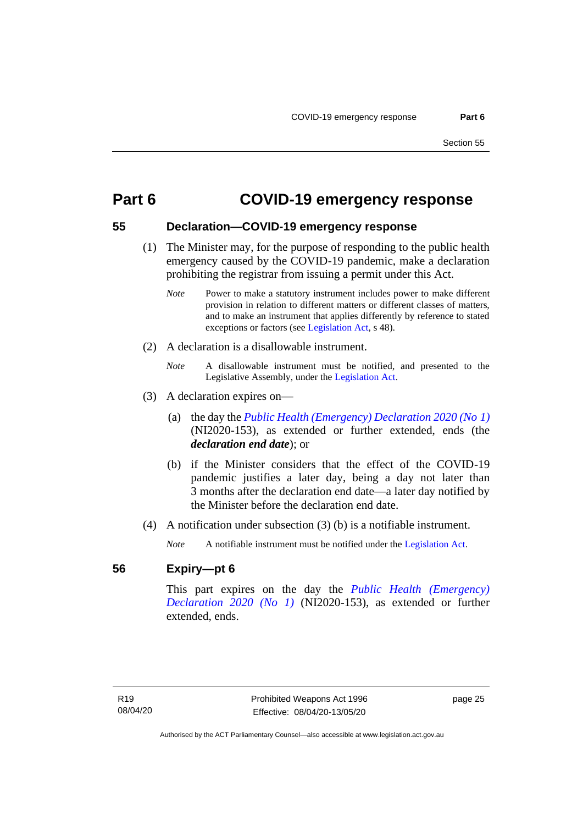## <span id="page-30-0"></span>**Part 6 COVID-19 emergency response**

## <span id="page-30-1"></span>**55 Declaration—COVID-19 emergency response**

- (1) The Minister may, for the purpose of responding to the public health emergency caused by the COVID-19 pandemic, make a declaration prohibiting the registrar from issuing a permit under this Act.
	- *Note* Power to make a statutory instrument includes power to make different provision in relation to different matters or different classes of matters, and to make an instrument that applies differently by reference to stated exceptions or factors (see [Legislation Act,](http://www.legislation.act.gov.au/a/2001-14) s 48).
- (2) A declaration is a disallowable instrument.
	- *Note* A disallowable instrument must be notified, and presented to the Legislative Assembly, under the [Legislation Act.](http://www.legislation.act.gov.au/a/2001-14)
- (3) A declaration expires on—
	- (a) the day the *[Public Health \(Emergency\) Declaration 2020 \(No](https://legislation.act.gov.au/ni/2020-153/) 1)* (NI2020-153), as extended or further extended, ends (the *declaration end date*); or
	- (b) if the Minister considers that the effect of the COVID-19 pandemic justifies a later day, being a day not later than 3 months after the declaration end date—a later day notified by the Minister before the declaration end date.
- (4) A notification under subsection (3) (b) is a notifiable instrument.

*Note* A notifiable instrument must be notified under the [Legislation Act.](http://www.legislation.act.gov.au/a/2001-14)

### <span id="page-30-2"></span>**56 Expiry—pt 6**

This part expires on the day the *[Public Health \(Emergency\)](https://legislation.act.gov.au/ni/2020-153/)  [Declaration 2020 \(No 1\)](https://legislation.act.gov.au/ni/2020-153/)* (NI2020-153), as extended or further extended, ends.

page 25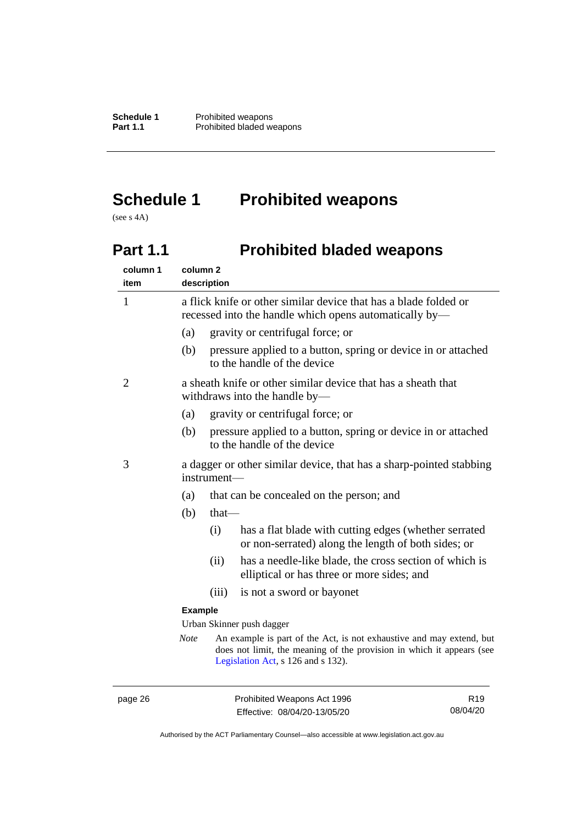**Schedule 1** Prohibited weapons<br>**Part 1.1** Prohibited bladed we Prohibited bladed weapons

## <span id="page-31-0"></span>**Schedule 1 Prohibited weapons**

<span id="page-31-1"></span>(see s 4A)

## **Part 1.1 Prohibited bladed weapons**

| column 1<br>item | column <sub>2</sub>                                                                                                        | description |                                                                                                                                                                                     |                 |
|------------------|----------------------------------------------------------------------------------------------------------------------------|-------------|-------------------------------------------------------------------------------------------------------------------------------------------------------------------------------------|-----------------|
| $\mathbf{1}$     | a flick knife or other similar device that has a blade folded or<br>recessed into the handle which opens automatically by— |             |                                                                                                                                                                                     |                 |
|                  | (a)                                                                                                                        |             | gravity or centrifugal force; or                                                                                                                                                    |                 |
|                  | (b)                                                                                                                        |             | pressure applied to a button, spring or device in or attached<br>to the handle of the device                                                                                        |                 |
| $\overline{2}$   |                                                                                                                            |             | a sheath knife or other similar device that has a sheath that<br>withdraws into the handle by-                                                                                      |                 |
|                  | (a)                                                                                                                        |             | gravity or centrifugal force; or                                                                                                                                                    |                 |
|                  | (b)                                                                                                                        |             | pressure applied to a button, spring or device in or attached<br>to the handle of the device                                                                                        |                 |
| 3                |                                                                                                                            | instrument- | a dagger or other similar device, that has a sharp-pointed stabbing                                                                                                                 |                 |
|                  | (a)                                                                                                                        |             | that can be concealed on the person; and                                                                                                                                            |                 |
|                  | (b)                                                                                                                        | $that$ —    |                                                                                                                                                                                     |                 |
|                  |                                                                                                                            | (i)         | has a flat blade with cutting edges (whether serrated<br>or non-serrated) along the length of both sides; or                                                                        |                 |
|                  |                                                                                                                            | (ii)        | has a needle-like blade, the cross section of which is<br>elliptical or has three or more sides; and                                                                                |                 |
|                  |                                                                                                                            | (iii)       | is not a sword or bayonet                                                                                                                                                           |                 |
|                  | <b>Example</b>                                                                                                             |             |                                                                                                                                                                                     |                 |
|                  |                                                                                                                            |             | Urban Skinner push dagger                                                                                                                                                           |                 |
|                  | Note                                                                                                                       |             | An example is part of the Act, is not exhaustive and may extend, but<br>does not limit, the meaning of the provision in which it appears (see<br>Legislation Act, s 126 and s 132). |                 |
| page 26          |                                                                                                                            |             | Prohibited Weapons Act 1996                                                                                                                                                         | R <sub>19</sub> |

Effective: 08/04/20-13/05/20

08/04/20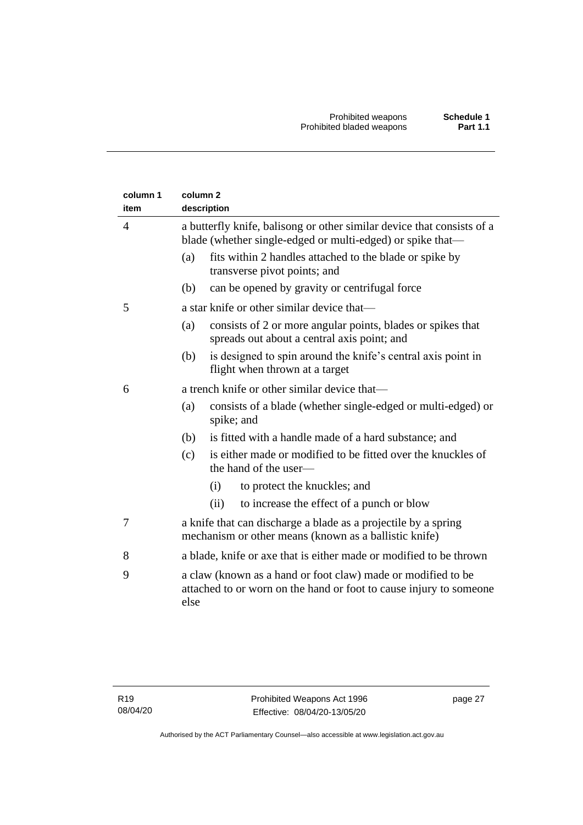| column 1<br>item | column <sub>2</sub><br>description                                                                                                         |
|------------------|--------------------------------------------------------------------------------------------------------------------------------------------|
| 4                | a butterfly knife, balisong or other similar device that consists of a<br>blade (whether single-edged or multi-edged) or spike that-       |
|                  | fits within 2 handles attached to the blade or spike by<br>(a)<br>transverse pivot points; and                                             |
|                  | can be opened by gravity or centrifugal force<br>(b)                                                                                       |
| 5                | a star knife or other similar device that—                                                                                                 |
|                  | consists of 2 or more angular points, blades or spikes that<br>(a)<br>spreads out about a central axis point; and                          |
|                  | is designed to spin around the knife's central axis point in<br>(b)<br>flight when thrown at a target                                      |
| 6                | a trench knife or other similar device that—                                                                                               |
|                  | consists of a blade (whether single-edged or multi-edged) or<br>(a)<br>spike; and                                                          |
|                  | is fitted with a handle made of a hard substance; and<br>(b)                                                                               |
|                  | is either made or modified to be fitted over the knuckles of<br>(c)<br>the hand of the user-                                               |
|                  | to protect the knuckles; and<br>(i)                                                                                                        |
|                  | (ii)<br>to increase the effect of a punch or blow                                                                                          |
| 7                | a knife that can discharge a blade as a projectile by a spring<br>mechanism or other means (known as a ballistic knife)                    |
| 8                | a blade, knife or axe that is either made or modified to be thrown                                                                         |
| 9                | a claw (known as a hand or foot claw) made or modified to be<br>attached to or worn on the hand or foot to cause injury to someone<br>else |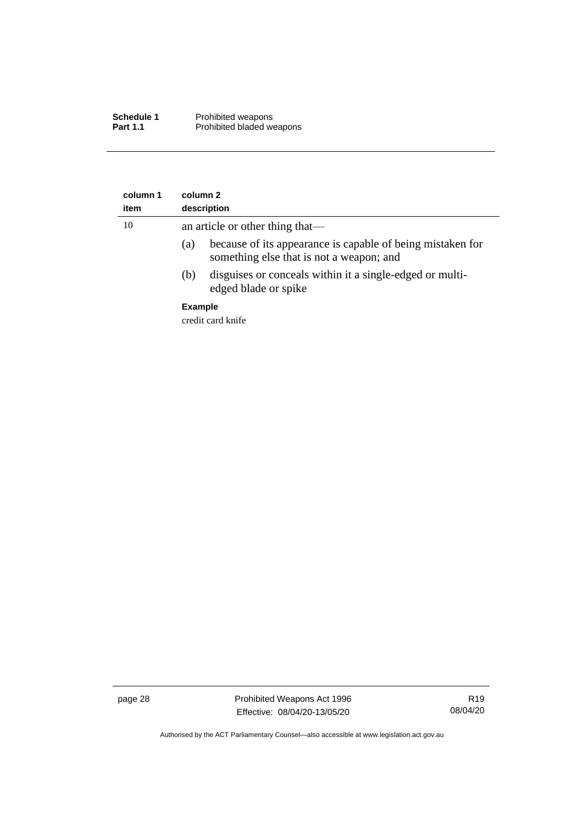| Schedule 1      | Prohibited weapons        |
|-----------------|---------------------------|
| <b>Part 1.1</b> | Prohibited bladed weapons |

| column 1<br>item | column 2<br>description                                                                                       |
|------------------|---------------------------------------------------------------------------------------------------------------|
| 10               | an article or other thing that—                                                                               |
|                  | because of its appearance is capable of being mistaken for<br>(a)<br>something else that is not a weapon; and |
|                  | disguises or conceals within it a single-edged or multi-<br>(b)<br>edged blade or spike                       |
|                  | <b>Example</b>                                                                                                |
|                  | credit card knife                                                                                             |

page 28 **Prohibited Weapons Act 1996** Effective: 08/04/20-13/05/20

R19 08/04/20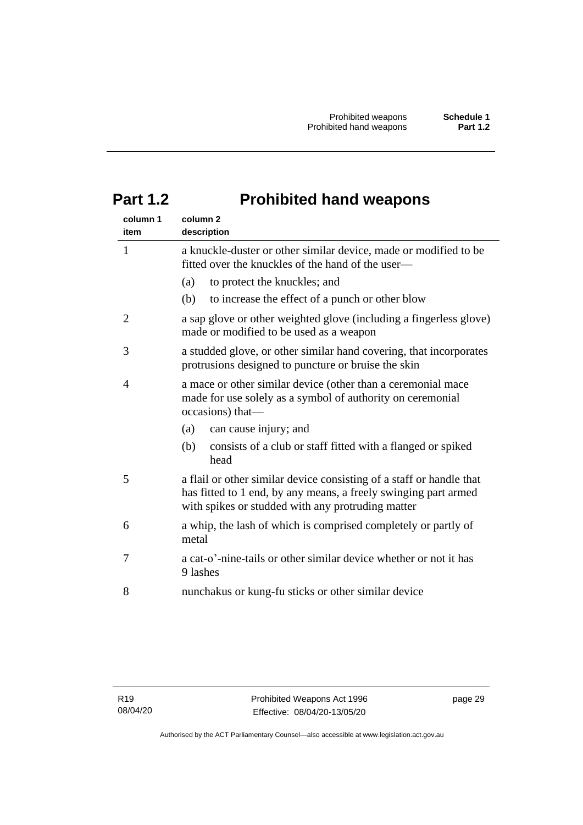## <span id="page-34-0"></span>**Part 1.2 Prohibited hand weapons**

| column 1<br>item | column <sub>2</sub><br>description                                                                                                                                                           |
|------------------|----------------------------------------------------------------------------------------------------------------------------------------------------------------------------------------------|
| $\mathbf{1}$     | a knuckle-duster or other similar device, made or modified to be<br>fitted over the knuckles of the hand of the user—                                                                        |
|                  | to protect the knuckles; and<br>(a)                                                                                                                                                          |
|                  | (b)<br>to increase the effect of a punch or other blow                                                                                                                                       |
| $\overline{2}$   | a sap glove or other weighted glove (including a fingerless glove)<br>made or modified to be used as a weapon                                                                                |
| 3                | a studded glove, or other similar hand covering, that incorporates<br>protrusions designed to puncture or bruise the skin                                                                    |
| 4                | a mace or other similar device (other than a ceremonial mace<br>made for use solely as a symbol of authority on ceremonial<br>occasions) that-                                               |
|                  | (a)<br>can cause injury; and                                                                                                                                                                 |
|                  | (b)<br>consists of a club or staff fitted with a flanged or spiked<br>head                                                                                                                   |
| 5                | a flail or other similar device consisting of a staff or handle that<br>has fitted to 1 end, by any means, a freely swinging part armed<br>with spikes or studded with any protruding matter |
| 6                | a whip, the lash of which is comprised completely or partly of<br>metal                                                                                                                      |
| 7                | a cat-o'-nine-tails or other similar device whether or not it has<br>9 lashes                                                                                                                |
| 8                | nunchakus or kung-fu sticks or other similar device                                                                                                                                          |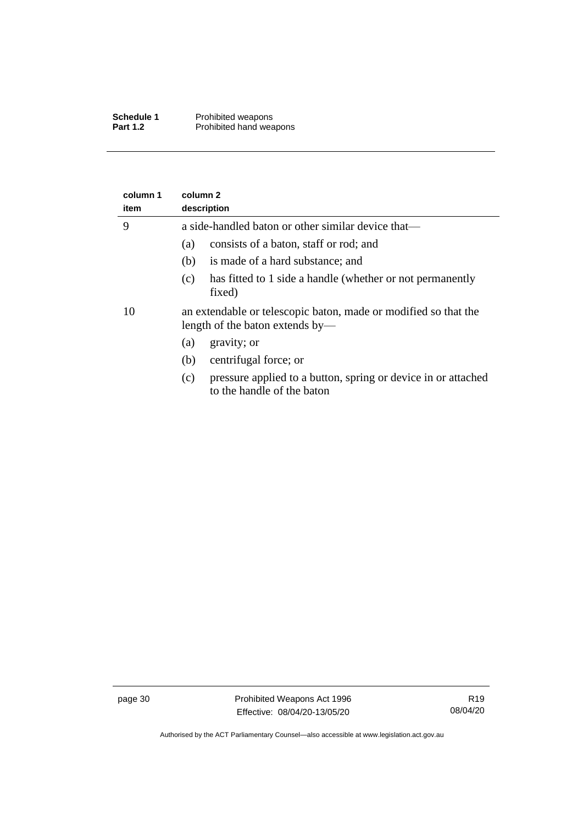| column 1            | column 2                                                                                           |  |
|---------------------|----------------------------------------------------------------------------------------------------|--|
| description<br>item |                                                                                                    |  |
| 9                   | a side-handled baton or other similar device that—                                                 |  |
|                     | consists of a baton, staff or rod; and<br>(a)                                                      |  |
|                     | is made of a hard substance; and<br>(b)                                                            |  |
|                     | has fitted to 1 side a handle (whether or not permanently<br>(c)<br>fixed)                         |  |
| 10                  | an extendable or telescopic baton, made or modified so that the<br>length of the baton extends by— |  |
|                     | gravity; or<br>(a)                                                                                 |  |
|                     | centrifugal force; or<br>(b)                                                                       |  |
|                     | pressure applied to a button, spring or device in or attached<br>(c)<br>to the handle of the baton |  |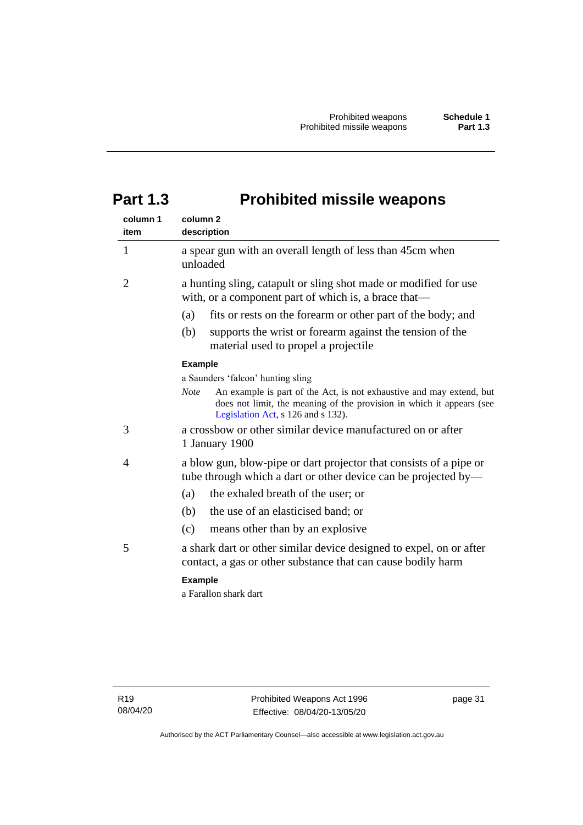## <span id="page-36-0"></span>**Part 1.3 Prohibited missile weapons**

| column 1<br>item | column 2<br>description                                                                                                                                                                            |  |
|------------------|----------------------------------------------------------------------------------------------------------------------------------------------------------------------------------------------------|--|
| 1                | a spear gun with an overall length of less than 45cm when<br>unloaded                                                                                                                              |  |
| 2                | a hunting sling, catapult or sling shot made or modified for use<br>with, or a component part of which is, a brace that-                                                                           |  |
|                  | fits or rests on the forearm or other part of the body; and<br>(a)                                                                                                                                 |  |
|                  | supports the wrist or forearm against the tension of the<br>(b)<br>material used to propel a projectile                                                                                            |  |
|                  | <b>Example</b>                                                                                                                                                                                     |  |
|                  | a Saunders 'falcon' hunting sling                                                                                                                                                                  |  |
|                  | An example is part of the Act, is not exhaustive and may extend, but<br><b>Note</b><br>does not limit, the meaning of the provision in which it appears (see<br>Legislation Act, s 126 and s 132). |  |
| 3                | a crossbow or other similar device manufactured on or after<br>1 January 1900                                                                                                                      |  |
| 4                | a blow gun, blow-pipe or dart projector that consists of a pipe or<br>tube through which a dart or other device can be projected by—                                                               |  |
|                  | the exhaled breath of the user; or<br>(a)                                                                                                                                                          |  |
|                  | the use of an elasticised band; or<br>(b)                                                                                                                                                          |  |
|                  | (c)<br>means other than by an explosive                                                                                                                                                            |  |
| 5                | a shark dart or other similar device designed to expel, on or after<br>contact, a gas or other substance that can cause bodily harm                                                                |  |
|                  | <b>Example</b>                                                                                                                                                                                     |  |
|                  | a Farallon shark dart                                                                                                                                                                              |  |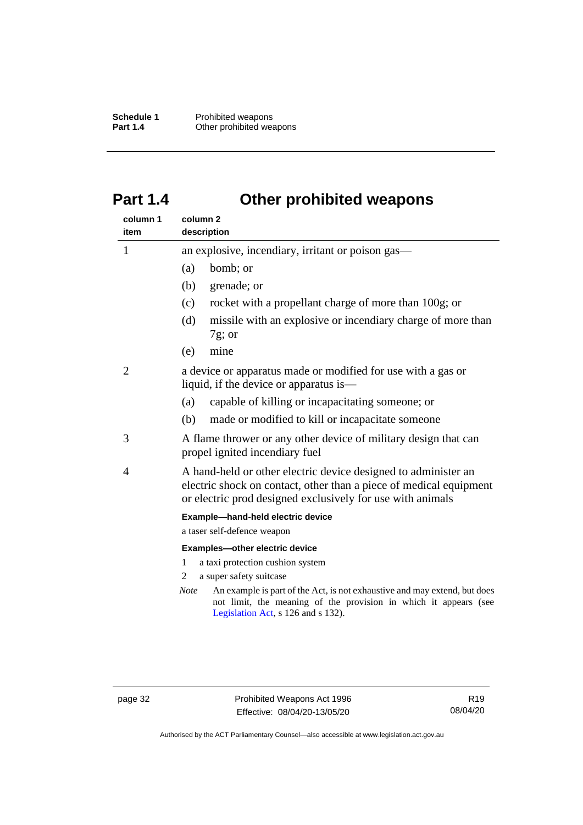**Schedule 1** Prohibited weapons<br> **Part 1.4** Other prohibited wea Other prohibited weapons

## <span id="page-37-0"></span>**Part 1.4 Other prohibited weapons**

| column 1<br>item            | column <sub>2</sub><br>description                                                                                                                                                                 |  |
|-----------------------------|----------------------------------------------------------------------------------------------------------------------------------------------------------------------------------------------------|--|
| 1                           | an explosive, incendiary, irritant or poison gas—                                                                                                                                                  |  |
|                             | (a)<br>bomb; or                                                                                                                                                                                    |  |
|                             | (b)<br>grenade; or                                                                                                                                                                                 |  |
|                             | rocket with a propellant charge of more than 100g; or<br>(c)                                                                                                                                       |  |
|                             | missile with an explosive or incendiary charge of more than<br>(d)<br>$7g$ ; or                                                                                                                    |  |
|                             | mine<br>(e)                                                                                                                                                                                        |  |
| 2                           | a device or apparatus made or modified for use with a gas or<br>liquid, if the device or apparatus is—                                                                                             |  |
|                             | capable of killing or incapacitating someone; or<br>(a)                                                                                                                                            |  |
|                             | made or modified to kill or incapacitate someone<br>(b)                                                                                                                                            |  |
| 3                           | A flame thrower or any other device of military design that can<br>propel ignited incendiary fuel                                                                                                  |  |
| 4                           | A hand-held or other electric device designed to administer an<br>electric shock on contact, other than a piece of medical equipment<br>or electric prod designed exclusively for use with animals |  |
|                             | Example-hand-held electric device                                                                                                                                                                  |  |
| a taser self-defence weapon |                                                                                                                                                                                                    |  |
|                             | <b>Examples-other electric device</b>                                                                                                                                                              |  |
|                             | a taxi protection cushion system<br>1                                                                                                                                                              |  |
|                             | 2<br>a super safety suitcase                                                                                                                                                                       |  |
|                             | An example is part of the Act, is not exhaustive and may extend, but does<br><b>Note</b><br>not limit, the meaning of the provision in which it appears (see<br>Legislation Act, s 126 and s 132). |  |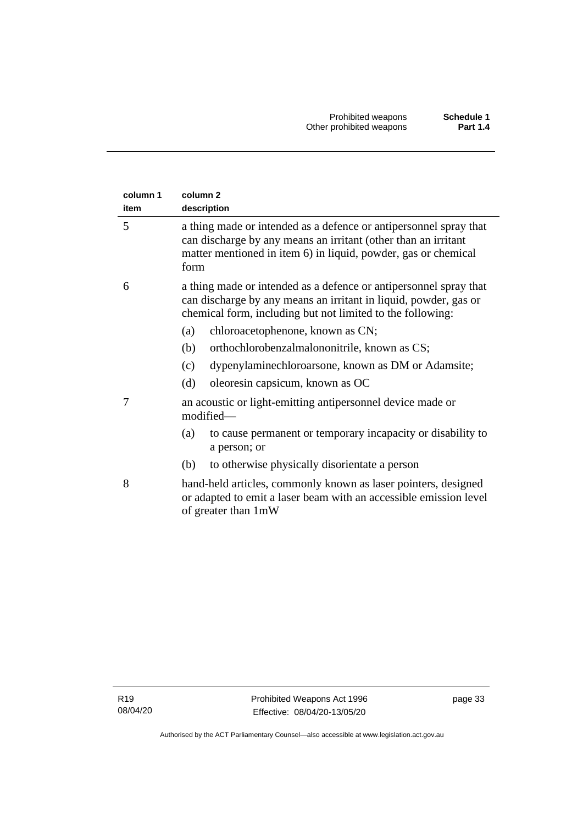| column 1<br>item | column <sub>2</sub><br>description                                                                                                                                                                            |  |
|------------------|---------------------------------------------------------------------------------------------------------------------------------------------------------------------------------------------------------------|--|
| 5                | a thing made or intended as a defence or antipersonnel spray that<br>can discharge by any means an irritant (other than an irritant<br>matter mentioned in item 6) in liquid, powder, gas or chemical<br>form |  |
| 6                | a thing made or intended as a defence or antipersonnel spray that<br>can discharge by any means an irritant in liquid, powder, gas or<br>chemical form, including but not limited to the following:           |  |
|                  | chloroacetophenone, known as CN;<br>(a)                                                                                                                                                                       |  |
|                  | orthochlorobenzalmalononitrile, known as CS;<br>(b)                                                                                                                                                           |  |
|                  | dypenylaminechloroarsone, known as DM or Adamsite;<br>(c)                                                                                                                                                     |  |
|                  | oleoresin capsicum, known as OC<br>(d)                                                                                                                                                                        |  |
| 7                | an acoustic or light-emitting antipersonnel device made or<br>modified-                                                                                                                                       |  |
|                  | to cause permanent or temporary incapacity or disability to<br>(a)<br>a person; or                                                                                                                            |  |
|                  | to otherwise physically disorientate a person<br>(b)                                                                                                                                                          |  |
| 8                | hand-held articles, commonly known as laser pointers, designed<br>or adapted to emit a laser beam with an accessible emission level<br>of greater than 1mW                                                    |  |
|                  |                                                                                                                                                                                                               |  |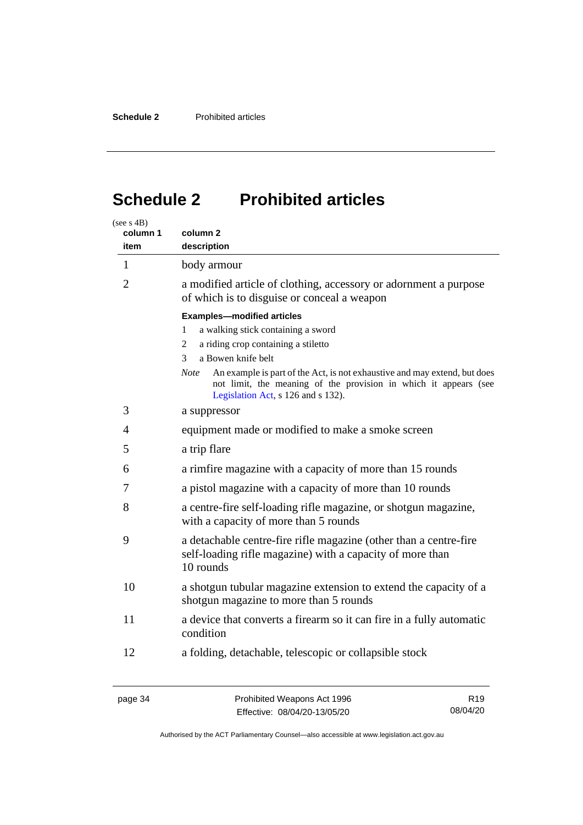## <span id="page-39-0"></span>**Schedule 2 Prohibited articles**

| (see s 4B)<br>column 1 | column 2<br>description                                                                                                                                                                            |  |  |
|------------------------|----------------------------------------------------------------------------------------------------------------------------------------------------------------------------------------------------|--|--|
| item                   |                                                                                                                                                                                                    |  |  |
| 1                      | body armour                                                                                                                                                                                        |  |  |
| $\overline{2}$         | a modified article of clothing, accessory or adornment a purpose<br>of which is to disguise or conceal a weapon                                                                                    |  |  |
|                        | <b>Examples-modified articles</b>                                                                                                                                                                  |  |  |
|                        | a walking stick containing a sword<br>1                                                                                                                                                            |  |  |
|                        | 2<br>a riding crop containing a stiletto                                                                                                                                                           |  |  |
|                        | a Bowen knife belt<br>3                                                                                                                                                                            |  |  |
|                        | <b>Note</b><br>An example is part of the Act, is not exhaustive and may extend, but does<br>not limit, the meaning of the provision in which it appears (see<br>Legislation Act, s 126 and s 132). |  |  |
| 3                      | a suppressor                                                                                                                                                                                       |  |  |
| 4                      | equipment made or modified to make a smoke screen                                                                                                                                                  |  |  |
| 5                      | a trip flare                                                                                                                                                                                       |  |  |
| 6                      | a rimfire magazine with a capacity of more than 15 rounds                                                                                                                                          |  |  |
| 7                      | a pistol magazine with a capacity of more than 10 rounds                                                                                                                                           |  |  |
| 8                      | a centre-fire self-loading rifle magazine, or shotgun magazine,<br>with a capacity of more than 5 rounds                                                                                           |  |  |
| 9                      | a detachable centre-fire rifle magazine (other than a centre-fire<br>self-loading rifle magazine) with a capacity of more than<br>10 rounds                                                        |  |  |
| 10                     | a shotgun tubular magazine extension to extend the capacity of a<br>shotgun magazine to more than 5 rounds                                                                                         |  |  |
| 11                     | a device that converts a firearm so it can fire in a fully automatic<br>condition                                                                                                                  |  |  |
| 12                     | a folding, detachable, telescopic or collapsible stock                                                                                                                                             |  |  |

page 34 Prohibited Weapons Act 1996 Effective: 08/04/20-13/05/20

R19 08/04/20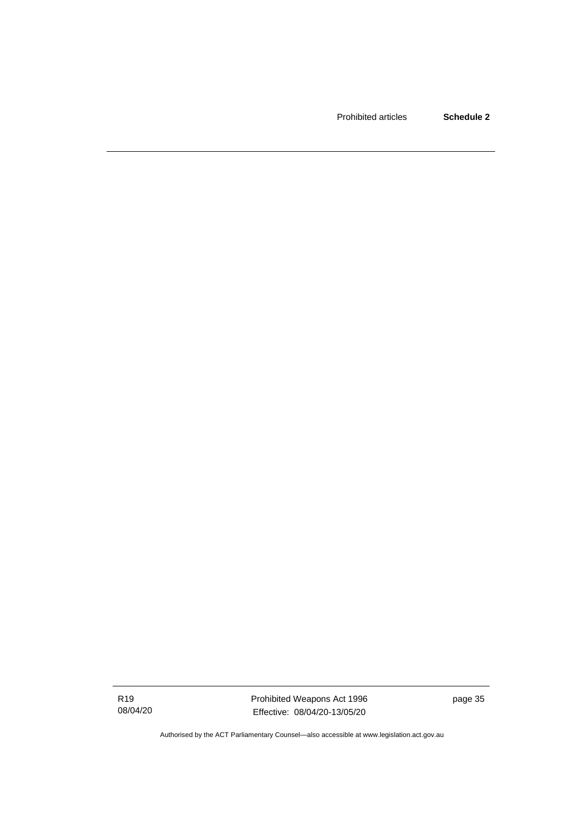Prohibited articles **Schedule 2**

R19 08/04/20 Prohibited Weapons Act 1996 Effective: 08/04/20-13/05/20

page 35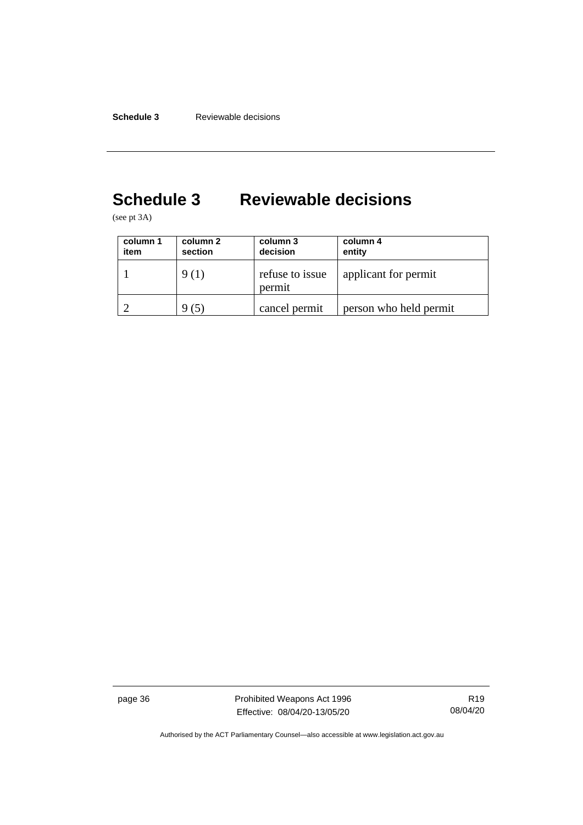## <span id="page-41-0"></span>**Schedule 3 Reviewable decisions**

(see pt 3A)

| column 1<br>item | column 2<br>section | column 3<br>decision      | column 4<br>entity     |
|------------------|---------------------|---------------------------|------------------------|
|                  | 9(1)                | refuse to issue<br>permit | applicant for permit   |
|                  | 65                  | cancel permit             | person who held permit |

page 36 **Prohibited Weapons Act 1996** Effective: 08/04/20-13/05/20

R19 08/04/20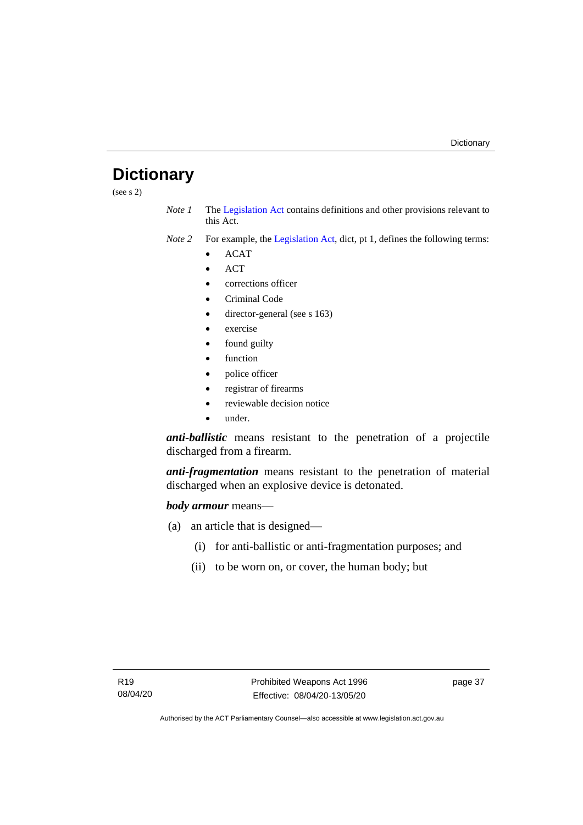## <span id="page-42-0"></span>**Dictionary**

(see s 2)

- *Note 1* The [Legislation Act](http://www.legislation.act.gov.au/a/2001-14) contains definitions and other provisions relevant to this Act.
- *Note 2* For example, the [Legislation Act,](http://www.legislation.act.gov.au/a/2001-14) dict, pt 1, defines the following terms:
	- ACAT
	- ACT
	- corrections officer
	- Criminal Code
	- director-general (see s 163)
	- exercise
	- found guilty
	- function
	- police officer
	- registrar of firearms
	- reviewable decision notice
	- under.

*anti-ballistic* means resistant to the penetration of a projectile discharged from a firearm.

*anti-fragmentation* means resistant to the penetration of material discharged when an explosive device is detonated.

#### *body armour* means—

- (a) an article that is designed—
	- (i) for anti-ballistic or anti-fragmentation purposes; and
	- (ii) to be worn on, or cover, the human body; but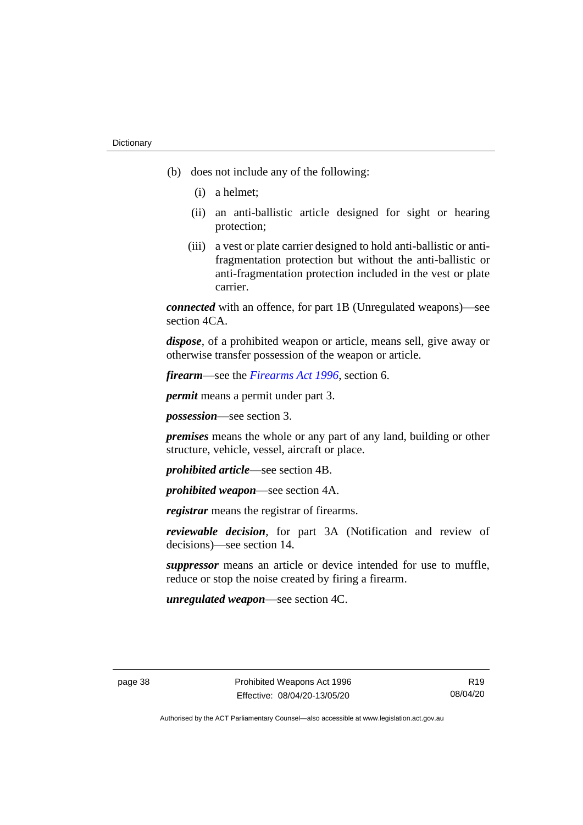- (b) does not include any of the following:
	- (i) a helmet;
	- (ii) an anti-ballistic article designed for sight or hearing protection;
	- (iii) a vest or plate carrier designed to hold anti-ballistic or antifragmentation protection but without the anti-ballistic or anti-fragmentation protection included in the vest or plate carrier.

*connected* with an offence, for part 1B (Unregulated weapons)—see section 4CA.

*dispose*, of a prohibited weapon or article, means sell, give away or otherwise transfer possession of the weapon or article.

*firearm*—see the *[Firearms](http://www.legislation.act.gov.au/a/1996-74) Act 1996*, section 6.

*permit* means a permit under part 3.

*possession*—see section 3.

*premises* means the whole or any part of any land, building or other structure, vehicle, vessel, aircraft or place.

*prohibited article*—see section 4B.

*prohibited weapon*—see section 4A.

*registrar* means the registrar of firearms.

*reviewable decision*, for part 3A (Notification and review of decisions)—see section 14.

*suppressor* means an article or device intended for use to muffle, reduce or stop the noise created by firing a firearm.

*unregulated weapon*—see section 4C.

R19 08/04/20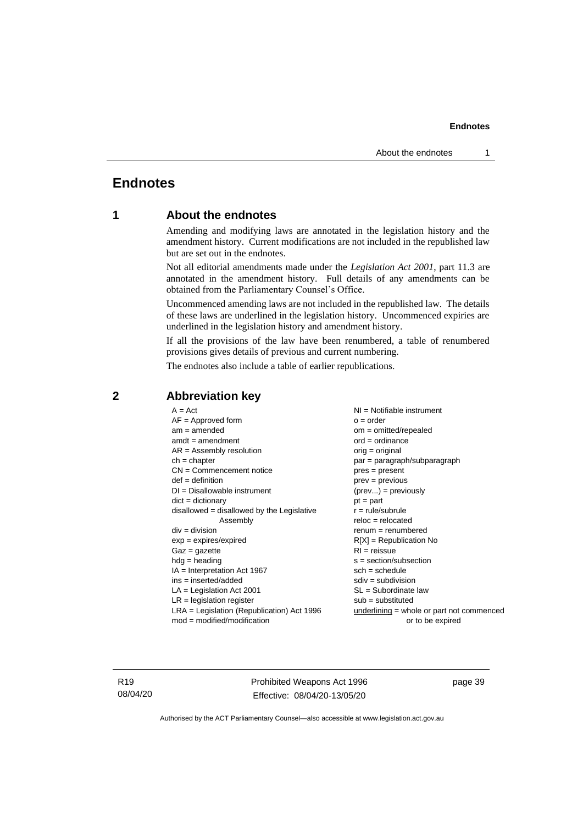## <span id="page-44-1"></span><span id="page-44-0"></span>**Endnotes**

### **1 About the endnotes**

Amending and modifying laws are annotated in the legislation history and the amendment history. Current modifications are not included in the republished law but are set out in the endnotes.

Not all editorial amendments made under the *Legislation Act 2001*, part 11.3 are annotated in the amendment history. Full details of any amendments can be obtained from the Parliamentary Counsel's Office.

Uncommenced amending laws are not included in the republished law. The details of these laws are underlined in the legislation history. Uncommenced expiries are underlined in the legislation history and amendment history.

If all the provisions of the law have been renumbered, a table of renumbered provisions gives details of previous and current numbering.

The endnotes also include a table of earlier republications.

| $A = Act$                                    | $NI =$ Notifiable instrument              |
|----------------------------------------------|-------------------------------------------|
| $AF =$ Approved form                         | $o = order$                               |
| $am = amended$                               | $om = omitted/repealed$                   |
| $amdt = amendment$                           | $ord = ordinance$                         |
| $AR = Assembly resolution$                   | $orig = original$                         |
| $ch = chapter$                               | par = paragraph/subparagraph              |
| $CN =$ Commencement notice                   | $pres = present$                          |
| $def = definition$                           | $prev = previous$                         |
| $DI = Disallowable instrument$               | $(\text{prev}) = \text{previously}$       |
| $dict = dictionary$                          | $pt = part$                               |
| $disallowed = disallowed by the Legislative$ | $r = rule/subrule$                        |
| Assembly                                     | $reloc = relocated$                       |
| $div = division$                             | $remum = renumbered$                      |
| $exp = expires/expired$                      | $R[X]$ = Republication No                 |
| $Gaz = gazette$                              | $RI = reissue$                            |
| $hdg =$ heading                              | $s = section/subsection$                  |
| $IA = Interpretation Act 1967$               | $sch = schedule$                          |
| $ins = inserted/added$                       | $sdiv = subdivision$                      |
| $LA =$ Legislation Act 2001                  | $SL = Subordinate$ law                    |
| $LR =$ legislation register                  | $sub =$ substituted                       |
| $LRA =$ Legislation (Republication) Act 1996 | underlining = whole or part not commenced |
| $mod = modified/modification$                | or to be expired                          |
|                                              |                                           |

### <span id="page-44-2"></span>**2 Abbreviation key**

R19 08/04/20 Prohibited Weapons Act 1996 Effective: 08/04/20-13/05/20

page 39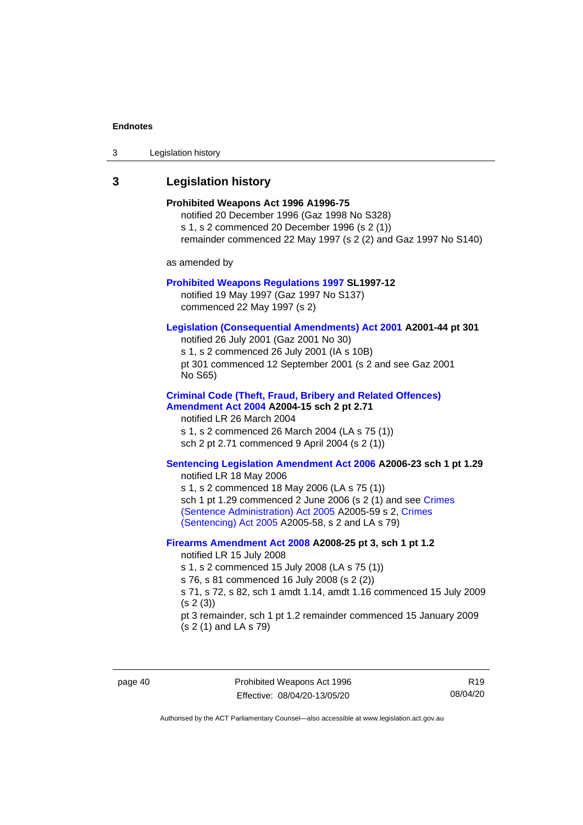| 3 | Legislation history |
|---|---------------------|
|---|---------------------|

## <span id="page-45-0"></span>**3 Legislation history**

| Prohibited Weapons Act 1996 A1996-75<br>notified 20 December 1996 (Gaz 1998 No S328)<br>s 1, s 2 commenced 20 December 1996 (s 2 (1))<br>remainder commenced 22 May 1997 (s 2 (2) and Gaz 1997 No S140)<br>as amended by<br><b>Prohibited Weapons Regulations 1997 SL1997-12</b><br>notified 19 May 1997 (Gaz 1997 No S137)<br>commenced 22 May 1997 (s 2)<br>Legislation (Consequential Amendments) Act 2001 A2001-44 pt 301<br>notified 26 July 2001 (Gaz 2001 No 30)<br>s 1, s 2 commenced 26 July 2001 (IA s 10B)<br>pt 301 commenced 12 September 2001 (s 2 and see Gaz 2001<br>No S65)<br><b>Criminal Code (Theft, Fraud, Bribery and Related Offences)</b><br>Amendment Act 2004 A2004-15 sch 2 pt 2.71<br>notified LR 26 March 2004<br>s 1, s 2 commenced 26 March 2004 (LA s 75 (1))<br>sch 2 pt 2.71 commenced 9 April 2004 (s 2 (1))<br>Sentencing Legislation Amendment Act 2006 A2006-23 sch 1 pt 1.29<br>notified LR 18 May 2006<br>s 1, s 2 commenced 18 May 2006 (LA s 75 (1))<br>sch 1 pt 1.29 commenced 2 June 2006 (s 2 (1) and see Crimes<br>(Sentence Administration) Act 2005 A2005-59 s 2, Crimes<br>(Sentencing) Act 2005 A2005-58, s 2 and LA s 79)<br>Firearms Amendment Act 2008 A2008-25 pt 3, sch 1 pt 1.2<br>notified LR 15 July 2008<br>s 1, s 2 commenced 15 July 2008 (LA s 75 (1))<br>s 76, s 81 commenced 16 July 2008 (s 2 (2))<br>s 71, s 72, s 82, sch 1 amdt 1.14, amdt 1.16 commenced 15 July 2009<br>(s 2(3))<br>pt 3 remainder, sch 1 pt 1.2 remainder commenced 15 January 2009<br>(s 2 (1) and LA s 79) | ∟σγιδιαιι∪π πιδι∪ι γ |  |
|-----------------------------------------------------------------------------------------------------------------------------------------------------------------------------------------------------------------------------------------------------------------------------------------------------------------------------------------------------------------------------------------------------------------------------------------------------------------------------------------------------------------------------------------------------------------------------------------------------------------------------------------------------------------------------------------------------------------------------------------------------------------------------------------------------------------------------------------------------------------------------------------------------------------------------------------------------------------------------------------------------------------------------------------------------------------------------------------------------------------------------------------------------------------------------------------------------------------------------------------------------------------------------------------------------------------------------------------------------------------------------------------------------------------------------------------------------------------------------------------------------------------------------------------------------|----------------------|--|
|                                                                                                                                                                                                                                                                                                                                                                                                                                                                                                                                                                                                                                                                                                                                                                                                                                                                                                                                                                                                                                                                                                                                                                                                                                                                                                                                                                                                                                                                                                                                                     |                      |  |
|                                                                                                                                                                                                                                                                                                                                                                                                                                                                                                                                                                                                                                                                                                                                                                                                                                                                                                                                                                                                                                                                                                                                                                                                                                                                                                                                                                                                                                                                                                                                                     |                      |  |
|                                                                                                                                                                                                                                                                                                                                                                                                                                                                                                                                                                                                                                                                                                                                                                                                                                                                                                                                                                                                                                                                                                                                                                                                                                                                                                                                                                                                                                                                                                                                                     |                      |  |
|                                                                                                                                                                                                                                                                                                                                                                                                                                                                                                                                                                                                                                                                                                                                                                                                                                                                                                                                                                                                                                                                                                                                                                                                                                                                                                                                                                                                                                                                                                                                                     |                      |  |
|                                                                                                                                                                                                                                                                                                                                                                                                                                                                                                                                                                                                                                                                                                                                                                                                                                                                                                                                                                                                                                                                                                                                                                                                                                                                                                                                                                                                                                                                                                                                                     |                      |  |
|                                                                                                                                                                                                                                                                                                                                                                                                                                                                                                                                                                                                                                                                                                                                                                                                                                                                                                                                                                                                                                                                                                                                                                                                                                                                                                                                                                                                                                                                                                                                                     |                      |  |
|                                                                                                                                                                                                                                                                                                                                                                                                                                                                                                                                                                                                                                                                                                                                                                                                                                                                                                                                                                                                                                                                                                                                                                                                                                                                                                                                                                                                                                                                                                                                                     |                      |  |

page 40 **Prohibited Weapons Act 1996** Effective: 08/04/20-13/05/20

R19 08/04/20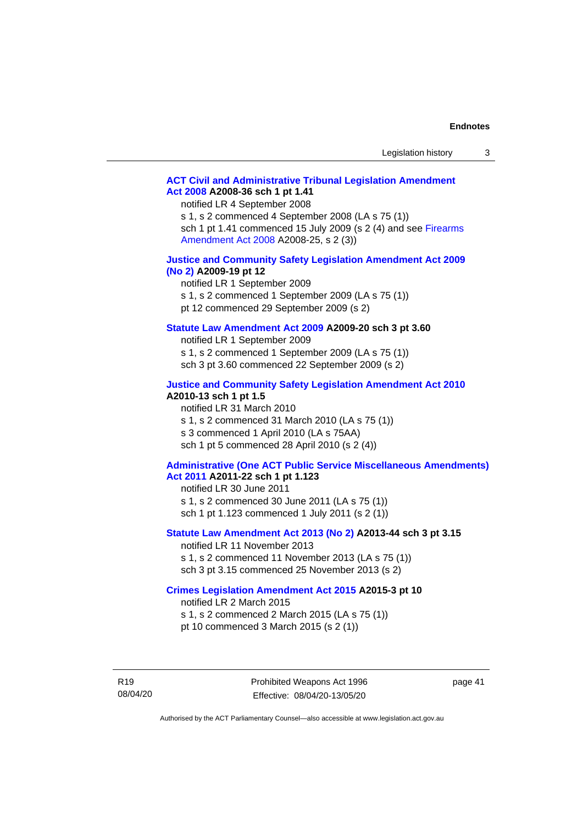| Legislation history |  |
|---------------------|--|
|---------------------|--|

#### **[ACT Civil and Administrative Tribunal Legislation Amendment](http://www.legislation.act.gov.au/a/2008-36)  Act [2008](http://www.legislation.act.gov.au/a/2008-36) A2008-36 sch 1 pt 1.41**

notified LR 4 September 2008

s 1, s 2 commenced 4 September 2008 (LA s 75 (1)) sch 1 pt 1.41 commenced 15 July 2009 (s 2 (4) and see Firearms [Amendment Act 2008](http://www.legislation.act.gov.au/a/2008-25) A2008-25, s 2 (3))

#### **[Justice and Community Safety Legislation Amendment Act 2009](http://www.legislation.act.gov.au/a/2009-19)  [\(No](http://www.legislation.act.gov.au/a/2009-19) 2) A2009-19 pt 12**

notified LR 1 September 2009 s 1, s 2 commenced 1 September 2009 (LA s 75 (1)) pt 12 commenced 29 September 2009 (s 2)

#### **[Statute Law Amendment Act 2009](http://www.legislation.act.gov.au/a/2009-20) A2009-20 sch 3 pt 3.60**

notified LR 1 September 2009 s 1, s 2 commenced 1 September 2009 (LA s 75 (1)) sch 3 pt 3.60 commenced 22 September 2009 (s 2)

#### **[Justice and Community Safety Legislation Amendment Act 2010](http://www.legislation.act.gov.au/a/2010-13)**

#### **A2010-13 sch 1 pt 1.5**

notified LR 31 March 2010 s 1, s 2 commenced 31 March 2010 (LA s 75 (1)) s 3 commenced 1 April 2010 (LA s 75AA) sch 1 pt 5 commenced 28 April 2010 (s 2 (4))

#### **[Administrative \(One ACT Public Service Miscellaneous Amendments\)](http://www.legislation.act.gov.au/a/2011-22)  Act [2011](http://www.legislation.act.gov.au/a/2011-22) A2011-22 sch 1 pt 1.123**

notified LR 30 June 2011 s 1, s 2 commenced 30 June 2011 (LA s 75 (1)) sch 1 pt 1.123 commenced 1 July 2011 (s 2 (1))

#### **[Statute Law Amendment Act 2013 \(No](http://www.legislation.act.gov.au/a/2013-44) 2) A2013-44 sch 3 pt 3.15**

notified LR 11 November 2013 s 1, s 2 commenced 11 November 2013 (LA s 75 (1)) sch 3 pt 3.15 commenced 25 November 2013 (s 2)

#### **[Crimes Legislation Amendment Act 2015](http://www.legislation.act.gov.au/a/2015-3/default.asp) A2015-3 pt 10**

notified LR 2 March 2015

s 1, s 2 commenced 2 March 2015 (LA s 75 (1)) pt 10 commenced 3 March 2015 (s 2 (1))

R19 08/04/20 page 41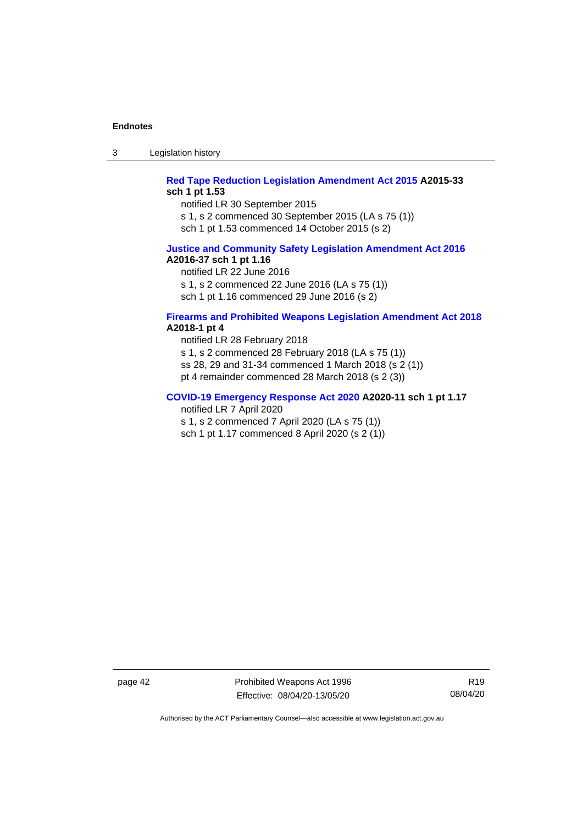3 Legislation history

#### **[Red Tape Reduction Legislation Amendment Act 2015](http://www.legislation.act.gov.au/a/2015-33/default.asp) A2015-33 sch 1 pt 1.53**

notified LR 30 September 2015

s 1, s 2 commenced 30 September 2015 (LA s 75 (1))

sch 1 pt 1.53 commenced 14 October 2015 (s 2)

#### **[Justice and Community Safety Legislation Amendment Act 2016](http://www.legislation.act.gov.au/a/2016-37) A2016-37 sch 1 pt 1.16**

notified LR 22 June 2016 s 1, s 2 commenced 22 June 2016 (LA s 75 (1)) sch 1 pt 1.16 commenced 29 June 2016 (s 2)

#### **[Firearms and Prohibited Weapons Legislation Amendment Act 2018](http://www.legislation.act.gov.au/a/2018-1/default.asp) A2018-1 pt 4**

notified LR 28 February 2018 s 1, s 2 commenced 28 February 2018 (LA s 75 (1)) ss 28, 29 and 31-34 commenced 1 March 2018 (s 2 (1)) pt 4 remainder commenced 28 March 2018 (s 2 (3))

#### **[COVID-19 Emergency Response Act 2020](http://www.legislation.act.gov.au/a/2020-11/#history) A2020-11 sch 1 pt 1.17**

notified LR 7 April 2020

s 1, s 2 commenced 7 April 2020 (LA s 75 (1))

sch 1 pt 1.17 commenced 8 April 2020 (s 2 (1))

page 42 Prohibited Weapons Act 1996 Effective: 08/04/20-13/05/20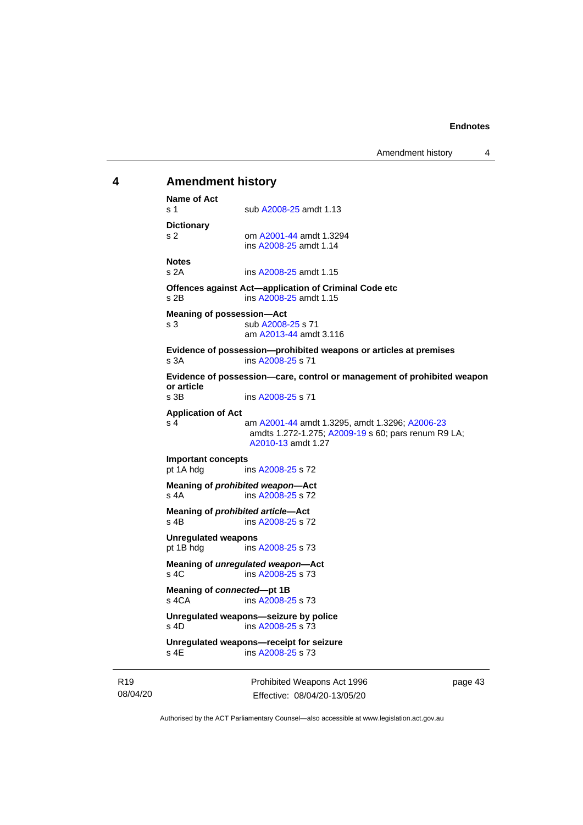## <span id="page-48-0"></span>**4 Amendment history Name of Act** s 1 sub [A2008-25](http://www.legislation.act.gov.au/a/2008-25) amdt 1.13 **Dictionary** s 2 om [A2001-44](http://www.legislation.act.gov.au/a/2001-44) amdt 1.3294 ins [A2008-25](http://www.legislation.act.gov.au/a/2008-25) amdt 1.14 **Notes** s 2A ins [A2008-25](http://www.legislation.act.gov.au/a/2008-25) amdt 1.15 **Offences against Act—application of Criminal Code etc** s 2B ins [A2008-25](http://www.legislation.act.gov.au/a/2008-25) amdt 1.15 **Meaning of possession—Act** s 3 sub [A2008-25](http://www.legislation.act.gov.au/a/2008-25) s 71 am [A2013-44](http://www.legislation.act.gov.au/a/2013-44) amdt 3.116 **Evidence of possession—prohibited weapons or articles at premises** s 3A ins [A2008-25](http://www.legislation.act.gov.au/a/2008-25) s 71 **Evidence of possession—care, control or management of prohibited weapon or article** ins [A2008-25](http://www.legislation.act.gov.au/a/2008-25) s 71 **Application of Act** s 4 am [A2001-44](http://www.legislation.act.gov.au/a/2001-44) amdt 1.3295, amdt 1.3296[; A2006-23](http://www.legislation.act.gov.au/a/2006-23) amdts 1.272-1.275; [A2009-19](http://www.legislation.act.gov.au/a/2009-19) s 60; pars renum R9 LA; [A2010-13](http://www.legislation.act.gov.au/a/2010-13) amdt 1.27 **Important concepts** ins [A2008-25](http://www.legislation.act.gov.au/a/2008-25) s 72 **Meaning of** *prohibited weapon***—Act** s 4A ins [A2008-25](http://www.legislation.act.gov.au/a/2008-25) s 72 **Meaning of** *prohibited article***—Act** s 4B ins [A2008-25](http://www.legislation.act.gov.au/a/2008-25) s 72 **Unregulated weapons** pt 1B hdg ins [A2008-25](http://www.legislation.act.gov.au/a/2008-25) s 73 **Meaning of** *unregulated weapon***—Act** s 4C ins [A2008-25](http://www.legislation.act.gov.au/a/2008-25) s 73 **Meaning of** *connected***—pt 1B** s 4CA ins [A2008-25](http://www.legislation.act.gov.au/a/2008-25) s 73 **Unregulated weapons—seizure by police** s 4D ins [A2008-25](http://www.legislation.act.gov.au/a/2008-25) s 73 **Unregulated weapons—receipt for seizure**

ins [A2008-25](http://www.legislation.act.gov.au/a/2008-25) s 73

R19 08/04/20 Prohibited Weapons Act 1996 Effective: 08/04/20-13/05/20

page 43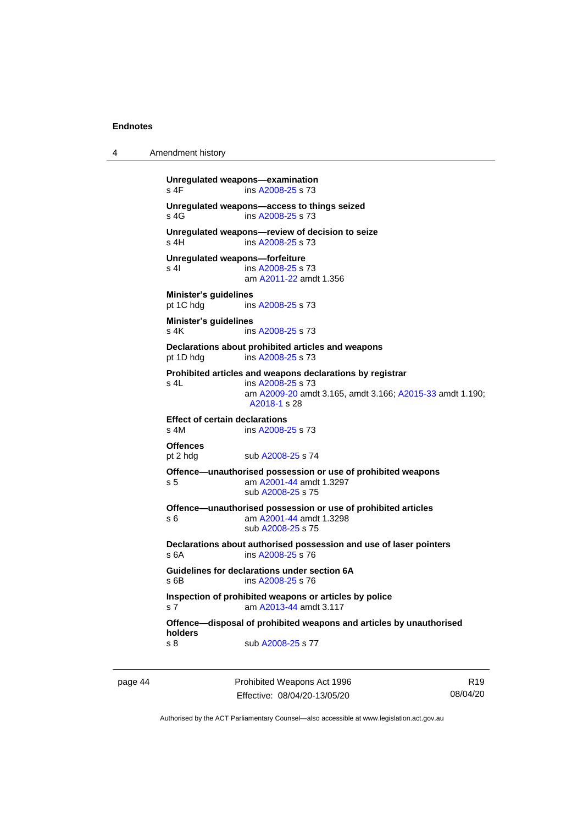4 Amendment history

```
Unregulated weapons—examination
 A2008-25 s 73
Unregulated weapons—access to things seized
 A2008-25 s 73
Unregulated weapons—review of decision to seize
 A2008-25 s 73
Unregulated weapons—forfeiture
 A2008-25 s 73
              am A2011-22 amdt 1.356
Minister's guidelines
pt 1C hdg ins A2008-25 s 73
Minister's guidelines
 A2008-25 s 73
Declarations about prohibited articles and weapons
pt 1D hdg ins A2008-25 s 73
Prohibited articles and weapons declarations by registrar
s 4L ins A2008-25 s 73
               am A2009-20 amdt 3.165, amdt 3.166; A2015-33 amdt 1.190; 
               A2018-1 s 28
Effect of certain declarations
s 4M ins A2008-25 s 73
Offences
 A2008-25 s 74
Offence—unauthorised possession or use of prohibited weapons
 A2001-44 amdt 1.3297
               sub A2008-25 s 75
Offence—unauthorised possession or use of prohibited articles
s 6 am A2001-44 amdt 1.3298
              sub A2008-25 s 75
Declarations about authorised possession and use of laser pointers
s 6A ins A2008-25 s 76
Guidelines for declarations under section 6A
s 6B ins A2008-25 s 76
Inspection of prohibited weapons or articles by police
s 7 am A2013-44 amdt 3.117
Offence—disposal of prohibited weapons and articles by unauthorised 
holders
 A2008-25 s 77
```
page 44 Prohibited Weapons Act 1996

R19 08/04/20

Authorised by the ACT Parliamentary Counsel—also accessible at www.legislation.act.gov.au

Effective: 08/04/20-13/05/20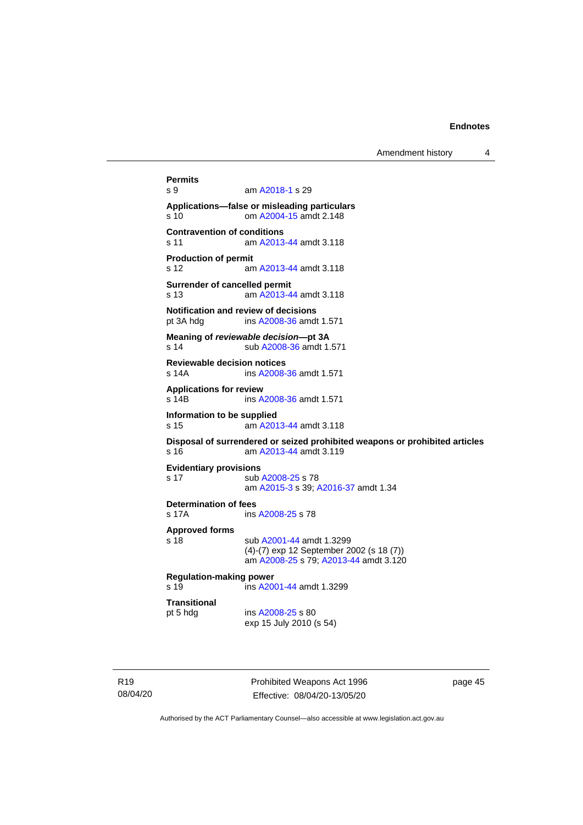Amendment history 4

**Permits** am [A2018-1](http://www.legislation.act.gov.au/a/2018-1/default.asp) s 29 **Applications—false or misleading particulars** s 10 om [A2004-15](http://www.legislation.act.gov.au/a/2004-15) amdt 2.148 **Contravention of conditions** s 11 am [A2013-44](http://www.legislation.act.gov.au/a/2013-44) amdt 3.118 **Production of permit** s 12 am [A2013-44](http://www.legislation.act.gov.au/a/2013-44) amdt 3.118 **Surrender of cancelled permit** s 13 am [A2013-44](http://www.legislation.act.gov.au/a/2013-44) amdt 3.118 **Notification and review of decisions** pt 3A hdg ins [A2008-36](http://www.legislation.act.gov.au/a/2008-36) amdt 1.571 **Meaning of** *reviewable decision—***pt 3A** s 14 sub [A2008-36](http://www.legislation.act.gov.au/a/2008-36) amdt 1.571 **Reviewable decision notices** s 14A ins [A2008-36](http://www.legislation.act.gov.au/a/2008-36) amdt 1.571 **Applications for review** s 14B ins [A2008-36](http://www.legislation.act.gov.au/a/2008-36) amdt 1.571 **Information to be supplied** s 15 am [A2013-44](http://www.legislation.act.gov.au/a/2013-44) amdt 3.118 **Disposal of surrendered or seized prohibited weapons or prohibited articles** s 16 am [A2013-44](http://www.legislation.act.gov.au/a/2013-44) amdt 3.119 **Evidentiary provisions** s 17 sub [A2008-25](http://www.legislation.act.gov.au/a/2008-25) s 78 am [A2015-3](http://www.legislation.act.gov.au/a/2015-3) s 39[; A2016-37](http://www.legislation.act.gov.au/a/2016-37/default.asp) amdt 1.34 **Determination of fees** s 17A ins [A2008-25](http://www.legislation.act.gov.au/a/2008-25) s 78 **Approved forms** s 18 sub [A2001-44](http://www.legislation.act.gov.au/a/2001-44) amdt 1.3299 (4)-(7) exp 12 September 2002 (s 18 (7)) am [A2008-25](http://www.legislation.act.gov.au/a/2008-25) s 79[; A2013-44](http://www.legislation.act.gov.au/a/2013-44) amdt 3.120 **Regulation-making power**<br>s 19 ins A20 ins [A2001-44](http://www.legislation.act.gov.au/a/2001-44) amdt 1.3299 **Transitional** pt 5 hdg ins [A2008-25](http://www.legislation.act.gov.au/a/2008-25) s 80 exp 15 July 2010 (s 54)

R19 08/04/20 Prohibited Weapons Act 1996 Effective: 08/04/20-13/05/20

page 45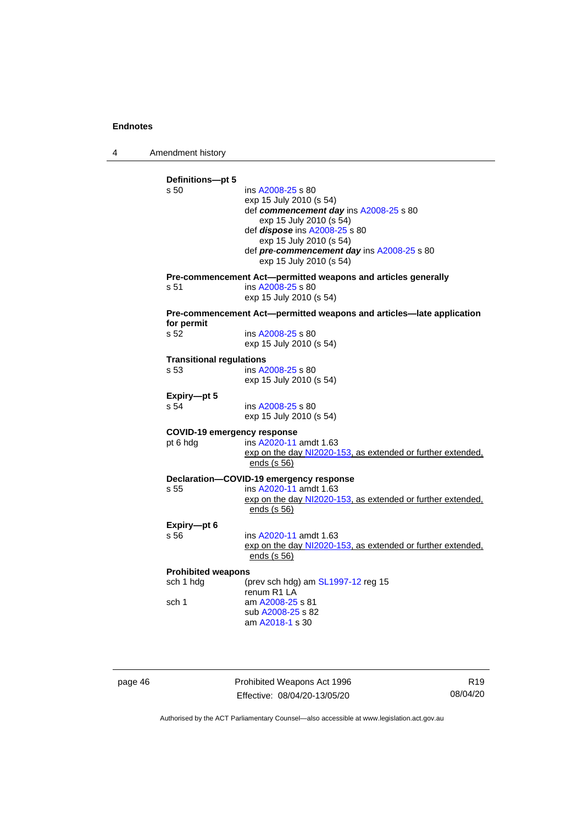4 Amendment history

| ins A2008-25 s 80<br>exp 15 July 2010 (s 54)<br>def commencement day ins A2008-25 s 80<br>exp 15 July 2010 (s 54)<br>def <i>dispose</i> ins A2008-25 s 80<br>exp 15 July 2010 (s 54)<br>def pre-commencement day ins A2008-25 s 80<br>exp 15 July 2010 (s 54) |
|---------------------------------------------------------------------------------------------------------------------------------------------------------------------------------------------------------------------------------------------------------------|
| Pre-commencement Act-permitted weapons and articles generally<br>ins A2008-25 s 80<br>exp 15 July 2010 (s 54)                                                                                                                                                 |
| Pre-commencement Act-permitted weapons and articles-late application                                                                                                                                                                                          |
| ins A2008-25 s 80<br>exp 15 July 2010 (s 54)                                                                                                                                                                                                                  |
| ins A2008-25 s 80<br>exp 15 July 2010 (s 54)                                                                                                                                                                                                                  |
|                                                                                                                                                                                                                                                               |
| ins A2008-25 s 80<br>exp 15 July 2010 (s 54)                                                                                                                                                                                                                  |
| <b>COVID-19 emergency response</b>                                                                                                                                                                                                                            |
| ins A2020-11 amdt 1.63<br>exp on the day NI2020-153, as extended or further extended.                                                                                                                                                                         |
| Declaration-COVID-19 emergency response                                                                                                                                                                                                                       |
| ins A2020-11 amdt 1.63<br>exp on the day NI2020-153, as extended or further extended,                                                                                                                                                                         |
|                                                                                                                                                                                                                                                               |
| ins A2020-11 amdt 1.63<br>exp on the day NI2020-153, as extended or further extended.                                                                                                                                                                         |
|                                                                                                                                                                                                                                                               |
| (prev sch hdg) am SL1997-12 reg 15<br>renum R <sub>1</sub> LA                                                                                                                                                                                                 |
| am A2008-25 s 81<br>sub A2008-25 s 82<br>am A2018-1 s 30                                                                                                                                                                                                      |
|                                                                                                                                                                                                                                                               |

page 46 **Prohibited Weapons Act 1996** Effective: 08/04/20-13/05/20

R19 08/04/20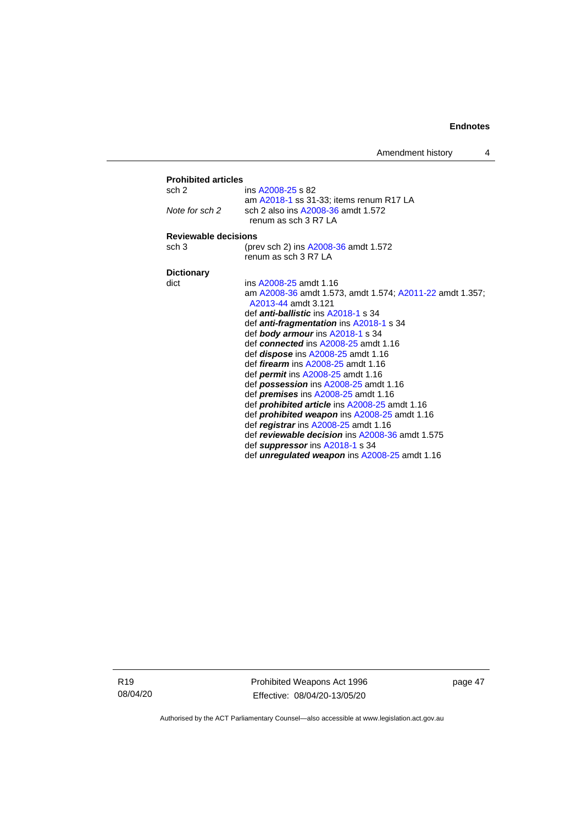| Amendment history |  |  |
|-------------------|--|--|
|-------------------|--|--|

| <b>Prohibited articles</b>                    |                                                          |  |  |  |  |  |
|-----------------------------------------------|----------------------------------------------------------|--|--|--|--|--|
| sch 2                                         | ins A2008-25 s 82                                        |  |  |  |  |  |
|                                               | am A2018-1 ss 31-33; items renum R17 LA                  |  |  |  |  |  |
| Note for sch 2                                | sch 2 also ins A2008-36 amdt 1.572                       |  |  |  |  |  |
|                                               | renum as sch 3 R7 LA                                     |  |  |  |  |  |
| <b>Reviewable decisions</b>                   |                                                          |  |  |  |  |  |
| sch 3<br>(prev sch 2) ins A2008-36 amdt 1.572 |                                                          |  |  |  |  |  |
|                                               | renum as sch 3 R7 LA                                     |  |  |  |  |  |
|                                               |                                                          |  |  |  |  |  |
| <b>Dictionary</b>                             |                                                          |  |  |  |  |  |
| dict                                          | ins A2008-25 amdt 1.16                                   |  |  |  |  |  |
|                                               | am A2008-36 amdt 1.573, amdt 1.574; A2011-22 amdt 1.357; |  |  |  |  |  |
|                                               | A2013-44 amdt 3.121                                      |  |  |  |  |  |
|                                               | def <i>anti-ballistic</i> ins A2018-1 s 34               |  |  |  |  |  |
|                                               | def <i>anti-fragmentation</i> ins A2018-1 s 34           |  |  |  |  |  |
| def body armour ins A2018-1 s 34              |                                                          |  |  |  |  |  |
| def connected ins A2008-25 amdt 1.16          |                                                          |  |  |  |  |  |
|                                               | def <i>dispose</i> ins A2008-25 amdt 1.16                |  |  |  |  |  |
|                                               | def <i>firearm</i> ins A2008-25 amdt 1.16                |  |  |  |  |  |
|                                               | def <i>permit</i> ins A2008-25 amdt 1.16                 |  |  |  |  |  |
|                                               | def <b>possession</b> ins A2008-25 amdt 1.16             |  |  |  |  |  |
|                                               | def <i>premises</i> ins A2008-25 amdt 1.16               |  |  |  |  |  |
|                                               | def <i>prohibited article</i> ins A2008-25 amdt 1.16     |  |  |  |  |  |
|                                               | def <b>prohibited weapon</b> ins A2008-25 amdt 1.16      |  |  |  |  |  |
|                                               | def registrar ins A2008-25 amdt 1.16                     |  |  |  |  |  |
|                                               | def reviewable decision ins A2008-36 amdt 1.575          |  |  |  |  |  |
|                                               | def suppressor ins A2018-1 s 34                          |  |  |  |  |  |
|                                               | def <i>unregulated weapon</i> ins A2008-25 amdt 1.16     |  |  |  |  |  |

R19 08/04/20 Prohibited Weapons Act 1996 Effective: 08/04/20-13/05/20

page 47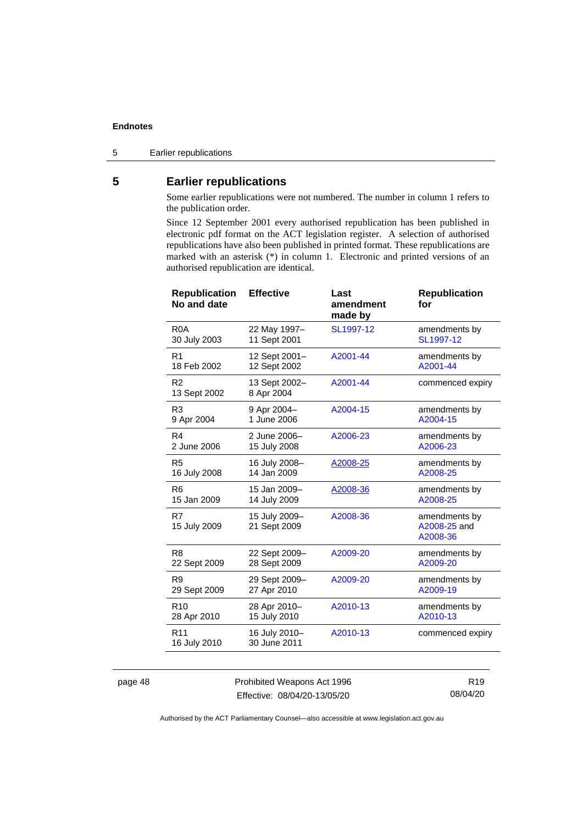5 Earlier republications

## <span id="page-53-0"></span>**5 Earlier republications**

Some earlier republications were not numbered. The number in column 1 refers to the publication order.

Since 12 September 2001 every authorised republication has been published in electronic pdf format on the ACT legislation register. A selection of authorised republications have also been published in printed format. These republications are marked with an asterisk (\*) in column 1. Electronic and printed versions of an authorised republication are identical.

| <b>Republication</b><br>No and date | <b>Effective</b>              | Last<br>amendment<br>made by | <b>Republication</b><br>for               |
|-------------------------------------|-------------------------------|------------------------------|-------------------------------------------|
| R <sub>0</sub> A                    | 22 May 1997-                  | SL1997-12                    | amendments by                             |
| 30 July 2003                        | 11 Sept 2001                  |                              | SL1997-12                                 |
| R <sub>1</sub>                      | 12 Sept 2001-                 | A2001-44                     | amendments by                             |
| 18 Feb 2002                         | 12 Sept 2002                  |                              | A2001-44                                  |
| R <sub>2</sub><br>13 Sept 2002      | 13 Sept 2002-<br>8 Apr 2004   | A2001-44                     | commenced expiry                          |
| R <sub>3</sub>                      | 9 Apr 2004-                   | A2004-15                     | amendments by                             |
| 9 Apr 2004                          | 1 June 2006                   |                              | A2004-15                                  |
| R <sub>4</sub>                      | 2 June 2006-                  | A2006-23                     | amendments by                             |
| 2 June 2006                         | 15 July 2008                  |                              | A2006-23                                  |
| R <sub>5</sub>                      | 16 July 2008-                 | A2008-25                     | amendments by                             |
| 16 July 2008                        | 14 Jan 2009                   |                              | A2008-25                                  |
| R <sub>6</sub>                      | 15 Jan 2009-                  | A2008-36                     | amendments by                             |
| 15 Jan 2009                         | 14 July 2009                  |                              | A2008-25                                  |
| R7<br>15 July 2009                  | 15 July 2009-<br>21 Sept 2009 | A2008-36                     | amendments by<br>A2008-25 and<br>A2008-36 |
| R <sub>8</sub>                      | 22 Sept 2009-                 | A2009-20                     | amendments by                             |
| 22 Sept 2009                        | 28 Sept 2009                  |                              | A2009-20                                  |
| R <sub>9</sub>                      | 29 Sept 2009-                 | A2009-20                     | amendments by                             |
| 29 Sept 2009                        | 27 Apr 2010                   |                              | A2009-19                                  |
| R <sub>10</sub>                     | 28 Apr 2010-                  | A2010-13                     | amendments by                             |
| 28 Apr 2010                         | 15 July 2010                  |                              | A2010-13                                  |
| R <sub>11</sub><br>16 July 2010     | 16 July 2010-<br>30 June 2011 | A2010-13                     | commenced expiry                          |

page 48 Prohibited Weapons Act 1996 Effective: 08/04/20-13/05/20

R19 08/04/20